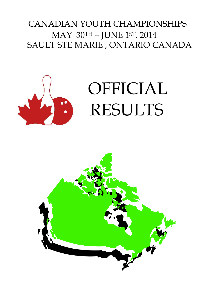# CANADIAN YOUTH CHAMPIONSHIPS MAY 30TH – JUNE 1ST, 2014 SAULT STE MARIE , ONTARIO CANADA



# OFFICIAL RESULTS

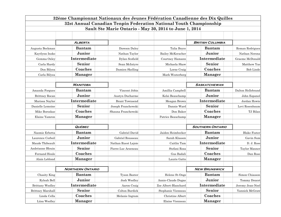|                   |                         |                       | 32ème Championnat Nationaux des Jeunes Fédération Canadienne des Dix Quilles |                         |                     |
|-------------------|-------------------------|-----------------------|------------------------------------------------------------------------------|-------------------------|---------------------|
|                   |                         |                       | 32st Annual Canadian Tenpin Federation National Youth Championship           |                         |                     |
|                   |                         |                       | Sault Ste Marie Ontario - May 30, 2014 to June 1, 2014                       |                         |                     |
|                   |                         |                       |                                                                              |                         |                     |
|                   |                         |                       |                                                                              |                         |                     |
|                   | ALBERTA                 |                       |                                                                              | <b>BRITISH COLUMBIA</b> |                     |
| Augusta Bockman   | <b>Bantam</b>           | Dawson Daley          | Talia Boyce                                                                  | <b>Bantam</b>           | Reman Rodriguez     |
| Kaytlynn Insko    | Junior                  | Nathan Taylor         | Bailey McKeracher                                                            | Junior                  | Nathan Nerona       |
| Gemma Oxley       | Intermediate            | Dylan Scofield        | Courtney Hamann                                                              | Intermediate            | Graeme McDonald     |
| Carla Hardy       | Senior                  | Sean McIntyre         | Michaela Shaw                                                                | Senior                  | Matthew Yue         |
| Don Bilyea        | Coaches                 | Damien Skelling       | Lorne Craig                                                                  | Coaches                 | <b>Bob Linde</b>    |
| Carla Bilyea      | <b>Manager</b>          |                       | Mark Westerberg                                                              | <b>Manager</b>          |                     |
|                   |                         |                       |                                                                              |                         |                     |
|                   | <b>MANITOBA</b>         |                       |                                                                              | <b>SASKATCHEWAN</b>     |                     |
| Amanda Forgues    | <b>Bantam</b>           | Vincent Jobin         | Amillia Campbell                                                             | <b>Bantam</b>           | Dalton Hellebrand   |
| Brittney Rocan    | Junior                  | Austyn Ducharme       | Kelsi Beauchamp                                                              | Junior                  | John Espanol        |
| Marissa Naylor    | Intermediate            | <b>Brant Townsend</b> | Meagan Brown                                                                 | Intermediate            | Jordan Howie        |
| Danielle Lemoine  | Senior                  | Joseph Franchewski    | Dannie Ward                                                                  | Senior                  | Levi Rosenbaum      |
| Mike Boroskae     | Coaches                 | Shauna Franchewski    | Don Baker                                                                    | Coaches                 | TJ Bilan            |
| Elaine Yamron     | <b>Manager</b>          |                       | Patrice Beauchamp                                                            | <b>Manager</b>          |                     |
|                   |                         |                       |                                                                              |                         |                     |
|                   | <b>QUÉBEC</b>           |                       |                                                                              | <b>SOUTHERN ONTARIO</b> |                     |
| Naomie Erbetta    | <b>Bantam</b>           | Gabriel David         | Jaiden Heimbecker                                                            | <b>Bantam</b>           | <b>Blake Foster</b> |
| Laurence Corbeil  | Junior                  | Gabriel Rousseau      | Sarah Klassen                                                                | Junior                  | Gavin Sum           |
| Maude Thibeault   | Intermediate            | Nathan Ruest Lajoie   | Caitlin Tam                                                                  | Intermediate            | D. J. Rose          |
| Andréanne Blouin  | Senior                  | Pierre-Luc Arseneau   | Stefani Rosa                                                                 | Senior                  | Taylor Maxner       |
| Fernand Houle     | Coaches                 |                       | Gus Badali                                                                   | Coaches                 | Dan Rose            |
| Alain Leblond     | <b>Manager</b>          |                       | Laurie Gatto                                                                 | <b>Manager</b>          |                     |
|                   |                         |                       |                                                                              |                         |                     |
|                   | <b>NORTHERN ONTARIO</b> |                       |                                                                              | <b>NEW BRUNSWICK</b>    |                     |
| Chasity King      | <b>Bantam</b>           | Tyson Baxter          | Helene St-Onge                                                               | <b>Bantam</b>           | Simon Chiasson      |
| Ryleah Bell       | Junior                  | Josh Woolley          | Annie-Claude Dugas                                                           | Junior                  | Tommy Doucet        |
| Brittany Woolley  | Intermediate            | Aaron Craig           | Zoe Albert-Blanchard                                                         | Intermediate            | Jeremy Jean-Noel    |
| Brittney Marshall | Senior                  | Colton Burdick        | Stephanie Vienneau                                                           | Senior                  | Yannick McGraw      |
| Linda Cella       | Coaches                 | Melanie Ingram        | Christine Albert                                                             | Coaches                 |                     |
| Liisa Woolley     | <b>Manager</b>          |                       | Elaine Vienneau                                                              | <b>Manager</b>          |                     |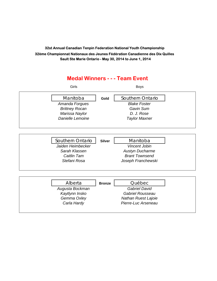## **Medal Winners - - - Team Event** Girls Boys Manitoba **Gold** Southern Ontario *Amanda Forgues Blake Foster Brittney Rocan Gavin Sum Marissa Naylor D. J. Rose Danielle Lemoine Taylor Maxner* Southern Ontario **Silver Manitoba** *Jaiden Heimbecker Vincent Jobin* **Sarah Klassen Mustyn Ducharme Caitlin Tam Grant Townsend** *Stefani Rosa Joseph Franchewski* Alberta **Bronze** Québec *Augusta Bockman Gabriel David Kaytlynn Insko Gabriel Rousseau Gemma Oxley Nathan Ruest Lajoie Carla Hardy Pierre-Luc Arseneau*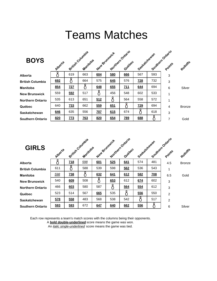# Teams Matches

| <b>BOYS</b>             | Alberte | British Columbia | Manitoba   | New Brunswick |     | Northern Ontario<br>Quebec | Saskatchewan |     | Southern Ontario<br>Points | Rolloffe      |
|-------------------------|---------|------------------|------------|---------------|-----|----------------------------|--------------|-----|----------------------------|---------------|
| Alberta                 |         | 619              | 663        | 604           | 580 | 666                        | 567          | 593 | 3                          |               |
| <b>British Columbia</b> | 692     | Ω                | 664        | 575           | 645 | 576                        | <b>728</b>   | 732 | 3                          |               |
| Manitoba                | 854     | <b>727</b>       |            | 648           | 655 | 711                        | 644          | 694 | 6                          | Silver        |
| <b>New Brunswick</b>    | 559     | 592              | 517        |               | 456 | 548                        | 602          | 533 | 1                          |               |
| <b>Northern Ontario</b> | 535     | 613              | 651        | 512           |     | 564                        | 558          | 572 | 1                          |               |
| Québec                  | 640     | Z <sub>33</sub>  | 662        | 559           | 651 | Ŏ                          | <b>Z29</b>   | 694 | $\overline{4}$             | <b>Bronze</b> |
| Saskatchewan            | 646     | 635              | 556        | <b>Z07</b>    | 615 | 674                        |              | 618 | 3                          |               |
| <b>Southern Ontario</b> | 820     | <b>773</b>       | <b>763</b> | 820           | 654 | <u>789</u>                 | 688          |     | $\overline{7}$             | Gold          |

| <b>GIRLS</b>            | Alberte |            | British Columbia<br>Manitoloa | New Brunswick |     | Northern Ontario<br>Quebec | Saskatchewan |            | Southern Ortario<br>Points | Rohoffe       |
|-------------------------|---------|------------|-------------------------------|---------------|-----|----------------------------|--------------|------------|----------------------------|---------------|
| Alberta                 |         | 718        | 598                           | 601           | 525 | 641                        | 574          | 481        | 4.5                        | <b>Bronze</b> |
| <b>British Columbia</b> | 611     |            | 588                           | 539           | 598 | 562                        | 536          | 543        | 1                          |               |
| Manitoba                | 598     | <b>Z38</b> |                               | 632           | 641 | 612                        | 582          | <b>Z08</b> | 6.5                        | Gold          |
| <b>New Brunswick</b>    | 540     | 609        | 508                           |               | 653 | 612                        | 674          | 602        | 3                          |               |
| <b>Northern Ontario</b> | 466     | 603        | 580                           | 587           |     | 564                        | 554          | 612        | 3                          |               |
| Québec                  | 523     | 514        | 567                           | 665           | 535 |                            | 556          | 550        | $\overline{2}$             |               |
| Saskatchewan            | 578     | 558        | 483                           | 568           | 538 | 542                        |              | 517        | $\overline{2}$             |               |
| <b>Southern Ontario</b> | 593     | 593        | 672                           | 64Z           | 640 | 662                        | 556          |            | 6                          | Silver        |

Each row represents a team's match scores with the columns being their opponents.

A **bold double-underlined** score means the game was won.

An *italic single-underlined* score means the game was tied.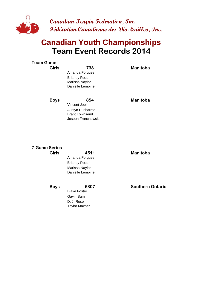

## **Team Event Records 2014 Canadian Youth Championships**

| <b>Team Game</b> |                       |                 |
|------------------|-----------------------|-----------------|
| <b>Girls</b>     | 738                   | <b>Manitoba</b> |
|                  | Amanda Forgues        |                 |
|                  | <b>Brittney Rocan</b> |                 |
|                  | Marissa Naylor        |                 |
|                  | Danielle Lemoine      |                 |
|                  |                       |                 |
| <b>Boys</b>      | 854                   | Manitoba        |
|                  | Vincent Jobin         |                 |
|                  | Austyn Ducharme       |                 |
|                  | <b>Brant Townsend</b> |                 |
|                  | Joseph Franchewski    |                 |
|                  |                       |                 |

## **7-Game Series**

**Girls 4511 MB Manitoba** Amanda Forgues Brittney Rocan Marissa Naylor Danielle Lemoine

Blake Foster

Taylor Maxner

Gavin Sum D. J. Rose

**Boys** 5307 **Southern Ontario**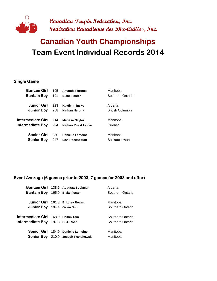

# **Team Event Individual Records 2014 Canadian Youth Championships**

#### **Single Game**

| <b>Bantam Girl</b> | 195 | <b>Amanda Forgues</b>      | Manitoba         |
|--------------------|-----|----------------------------|------------------|
| <b>Bantam Boy</b>  | 191 | <b>Blake Foster</b>        | Southern Ontario |
|                    |     |                            |                  |
| <b>Junior Girl</b> | 223 | Kaytiynn Insko             | Alberta          |
| <b>Junior Boy</b>  | 258 | <b>Nathan Nerona</b>       | British Columbia |
|                    |     |                            |                  |
| Intermediate Girl  | 214 | <b>Marissa Naylor</b>      | Manitoba         |
| Intermediate Boy   | 224 | <b>Nathan Ruest Lajoie</b> | Québec           |
|                    |     |                            |                  |
| <b>Senior Girl</b> | 230 | Danielle Lemoine           | Manitoba         |
| <b>Senior Boy</b>  | 247 | Levi Rosenbaum             | Saskatchewan     |
|                    |     |                            |                  |

#### **Event Average (6 games prior to 2003, 7 games for 2003 and after)**

|                                          | Bantam Girl 138.6 Augusta Bockman   | Alberta          |
|------------------------------------------|-------------------------------------|------------------|
| Bantam Boy 165.9 Blake Foster            |                                     | Southern Ontario |
|                                          |                                     |                  |
|                                          | Junior Girl 161.3 Brittney Rocan    | Manitoba         |
| Junior Boy 194.4 Gavin Sum               |                                     | Southern Ontario |
|                                          |                                     |                  |
| Intermediate Girl 168.9 Caitlin Tam      |                                     | Southern Ontario |
| <b>Intermediate Boy</b> 197.3 D. J. Rose |                                     | Southern Ontario |
|                                          |                                     |                  |
|                                          | Senior Girl 184.9 Danielle Lemoine  | Manitoba         |
|                                          | Senior Boy 210.9 Joseph Franchewski | Manitoba         |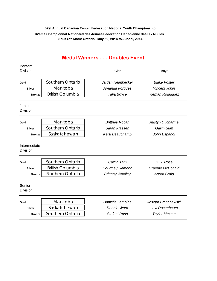### **Medal Winners - - - Doubles Event**

#### Bantam Division Girls Boys

| Gold          | Southern Ontario        | Jaiden Heimbecker | <b>Blake Foster</b>  |
|---------------|-------------------------|-------------------|----------------------|
| <b>Silver</b> | Manitoba                | Amanda Forgues    | <b>Vincent Jobin</b> |
| <b>Bronze</b> | <b>British Columbia</b> | Talia Boyce       | Reman Rodriguez      |

Junior

Division

| Gold          | Manitoba         | <b>Brittney Rocan</b> | <b>Austyn Ducharme</b> |
|---------------|------------------|-----------------------|------------------------|
| <b>Silver</b> | Southern Ontario | Sarah Klassen         | Gavin Sum              |
| <b>Bronze</b> | Saskatchewan     | Kelsi Beauchamp       | John Espanol           |

Intermediate

Division

h

| Gold          | Southern Ontario        | Caitlin Tam             | D. J. Rose      |
|---------------|-------------------------|-------------------------|-----------------|
| <b>Silver</b> | <b>British Columbia</b> | <b>Courtney Hamann</b>  | Graeme McDonald |
| <b>Bronze</b> | <b>Northern Ontario</b> | <b>Brittany Woolley</b> | Aaron Craig     |

Senior

Division

Г

| Gold          | Manitoba         | Danielle Lemoine | Joseph Franchewski   |
|---------------|------------------|------------------|----------------------|
| <b>Silver</b> | Saskatchewan     | Dannie Ward      | Levi Rosenbaum       |
| <b>Bronze</b> | Southern Ontario | Stefani Rosa     | <b>Taylor Maxner</b> |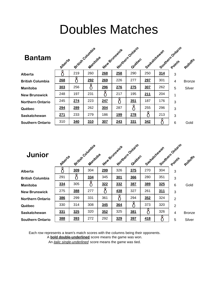# Doubles Matches

| <b>Bantam</b>           | Alberta    |            | British Columbia<br>Manitoba |            | New Bringwick | Mortineen Ontario<br>Quebec | Socketchewan |     | Southern Ontario | Rolloffe      |
|-------------------------|------------|------------|------------------------------|------------|---------------|-----------------------------|--------------|-----|------------------|---------------|
| Alberta                 |            | 219        | 260                          | 268        | 258           | 290                         | 250          | 314 | 3                |               |
| <b>British Columbia</b> | 268        |            | 292                          | 269        | 226           | 277                         | 297          | 301 | 4                | <b>Bronze</b> |
| <b>Manitoba</b>         | 303        | 256        |                              | 296        | 276           | 275                         | <b>307</b>   | 262 | 5                | Silver        |
| <b>New Brunswick</b>    | 248        | 197        | 231                          |            | 217           | 195                         | <u>211</u>   | 204 | 1                |               |
| <b>Northern Ontario</b> | 245        | 274        | 223                          | 247        | Õ             | <u>351</u>                  | 187          | 176 | 3                |               |
| Québec                  | <u>294</u> | 289        | 262                          | 304        | 287           | 8                           | 255          | 296 | 3                |               |
| Saskatchewan            | 271        | 233        | 279                          | 186        | <u>199</u>    | 278                         |              | 213 | 3                |               |
| <b>Southern Ontario</b> | 310        | <b>340</b> | 310                          | <b>307</b> | 243           | 331                         | 342          |     | 6                | Gold          |

| Junior                  | Alberta |     | British Columbia<br>Manitoba |     | New Bringwick | Morthern Ontario<br>Quebec | Sastachewan |     | Southern Ontario | Rotloffe      |
|-------------------------|---------|-----|------------------------------|-----|---------------|----------------------------|-------------|-----|------------------|---------------|
| Alberta                 |         | 309 | 304                          | 299 | 326           | 375                        | 270         | 304 | 3                |               |
| <b>British Columbia</b> | 291     |     | 334                          | 345 | 301           | 366                        | 280         | 351 | 3                |               |
| Manitoba                | 334     | 305 |                              | 322 | 332           | 387                        | 389         | 325 | 6                | Gold          |
| <b>New Brunswick</b>    | 275     | 388 | 277                          |     | 438           | 327                        | 261         | 311 | 3                |               |
| <b>Northern Ontario</b> | 386     | 299 | 331                          | 361 | 8             | 294                        | 352         | 324 | $\overline{2}$   |               |
| Québec                  | 330     | 314 | 308                          | 345 | 364           |                            | 373         | 320 | $\overline{2}$   |               |
| Saskatchewan            | 331     | 325 | 320                          | 352 | 325           | 381                        |             | 326 | 4                | <b>Bronze</b> |
| <b>Southern Ontario</b> | 388     | 393 | 272                          | 292 | 329           | 397                        | 418         |     | 5                | Silver        |

Each row represents a team's match scores with the columns being their opponents.

A **bold double-underlined** score means the game was won.

An *italic single-underlined* score means the game was tied.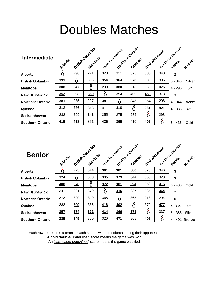# Doubles Matches

| <b>Intermediate</b>     | Alberta |     | British Columbia<br>Manitoba |            | New Bringwick | Northern Ontario<br>Quebec | Saskatchewan |            | Southern Ontario<br>Points | Rolloffs      |
|-------------------------|---------|-----|------------------------------|------------|---------------|----------------------------|--------------|------------|----------------------------|---------------|
| Alberta                 |         | 296 | 271                          | 323        | 321           | 370                        | 306          | 348        | $\overline{2}$             |               |
| <b>British Columbia</b> | 391     |     | 316                          | 354        | 364           | 378                        | 333          | 306        | $5 - 348$                  | Silver        |
| <b>Manitoba</b>         | 308     | 347 |                              | 299        | 380           | 318                        | 330          | <b>375</b> | $4 - 295$                  | 5th           |
| <b>New Brunswick</b>    | 352     | 308 | 350                          | O          | 354           | 400                        | <b>459</b>   | 378        | 3                          |               |
| <b>Northern Ontario</b> | 381     | 285 | 297                          | 381        |               | 343                        | 354          | 298        | $4 - 344$                  | <b>Bronze</b> |
| Québec                  | 312     | 376 | 353                          | 411        | 319           |                            | 361          | <u>421</u> | $4 - 336$                  | 4th           |
| Saskatchewan            | 282     | 269 | 343                          | 255        | 275           | 285                        |              | 298        | 1                          |               |
| <b>Southern Ontario</b> | 419     | 418 | 351                          | <b>436</b> | 365           | 410                        | 402          |            | $5 - 438$                  | Gold          |

| <b>Senior</b>           | Alberta |     | British Columbia<br>Manitoloa |     | New Brunswick | Morthern Ontario<br>Quebec | Saskatchewan |            | Southern Ontario<br>Points | Rohoffe       |
|-------------------------|---------|-----|-------------------------------|-----|---------------|----------------------------|--------------|------------|----------------------------|---------------|
| Alberta                 |         | 275 | 344                           | 361 | 381           | 388                        | 325          | 346        | 3                          |               |
| <b>British Columbia</b> | 324     |     | 360                           | 335 | 379           | 344                        | 365          | 323        | 3                          |               |
| <b>Manitoba</b>         | 408     | 376 |                               | 372 | 381           | 394                        | 350          | <b>416</b> | $6 - 438$                  | Gold          |
| <b>New Brunswick</b>    | 341     | 321 | 370                           |     | 416           | 337                        | 385          | 364        | $\overline{2}$             |               |
| <b>Northern Ontario</b> | 373     | 329 | 310                           | 365 |               | 363                        | 218          | 294        | $\mathbf 0$                |               |
| Québec                  | 383     | 399 | 386                           | 418 | 402           | 8                          | 372          | 477        | 4 - 334                    | 4th           |
| Saskatchewan            | 357     | 374 | 372                           | 414 | 366           | 379                        |              | 337        | $6 - 368$                  | Silver        |
| <b>Southern Ontario</b> | 389     | 349 | 380                           | 326 | <u>471</u>    | 368                        | <b>402</b>   |            | $4 - 401$                  | <b>Bronze</b> |

Each row represents a team's match scores with the columns being their opponents.

A **bold double-underlined** score means the game was won.

An *italic single-underlined* score means the game was tied.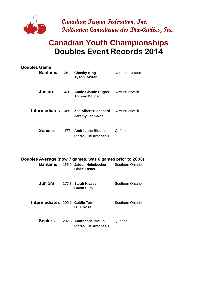

## **Canadian Youth Championships Doubles Event Records 2014**

| <b>Doubles Game</b><br><b>Bantams</b>                               | 351 | <b>Chasity King</b><br><b>Tyson Baxter</b>       | Northern Ontario     |
|---------------------------------------------------------------------|-----|--------------------------------------------------|----------------------|
| <b>Juniors</b>                                                      | 438 | <b>Annie-Claude Dugas</b><br><b>Tommy Doucet</b> | <b>New Brunswick</b> |
| <b>Intermediates</b>                                                | 459 | Zoe Albert-Blanchard<br>Jeremy Jean-Noel         | <b>New Brunswick</b> |
| <b>Seniors</b>                                                      |     | 477 Andréanne Blouin<br>Pierre-Luc Arseneau      | Québec               |
| Doubles Average (now 7 games, was 6 games prior to 2003)<br>Bantams |     | 155.9 Jaiden Heimbecker<br><b>Blake Foster</b>   | Southern Ontario     |
| <b>Juniors</b>                                                      |     | 177.8 Sarah Klassen<br><b>Gavin Sum</b>          | Southern Ontario     |
| Intermediates 200.1 Caitlin Tam                                     |     | D. J. Rose                                       | Southern Ontario     |
| <b>Seniors</b>                                                      |     | 202.6 Andréanne Blouin                           | Québec               |

**Pierre-Luc Arseneau**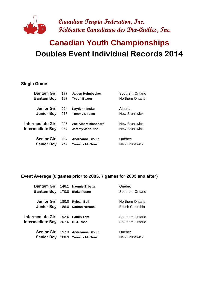

# **Doubles Event Individual Records 2014 Canadian Youth Championships**

#### **Single Game**

| <b>Bantam Girl</b> | 177 | Jaiden Heimbecker     | Southern Ontario |
|--------------------|-----|-----------------------|------------------|
| <b>Bantam Boy</b>  | 197 | <b>Tyson Baxter</b>   | Northern Ontario |
|                    |     |                       |                  |
| <b>Junior Girl</b> | 224 | Kaytiynn Insko        | Alberta          |
| <b>Junior Boy</b>  | 215 | <b>Tommy Doucet</b>   | New Brunswick    |
|                    |     |                       |                  |
| Intermediate Girl  | 225 | Zoe Albert-Blanchard  | New Brunswick    |
| Intermediate Boy   | 257 | Jeremy Jean-Noel      | New Brunswick    |
|                    |     |                       |                  |
| <b>Senior Girl</b> | 257 | Andréanne Blouin      | Québec           |
| <b>Senior Boy</b>  | 249 | <b>Yannick McGraw</b> | New Brunswick    |
|                    |     |                       |                  |

#### **Event Average (6 games prior to 2003, 7 games for 2003 and after)**

|                                          | Bantam Girl 146.1 Naomie Erbetta   | Québec                  |
|------------------------------------------|------------------------------------|-------------------------|
| <b>Bantam Boy</b> 170.0 Blake Foster     |                                    | Southern Ontario        |
|                                          |                                    |                         |
| Junior Girl 180.0 Ryleah Bell            |                                    | Northern Ontario        |
|                                          | Junior Boy 186.0 Nathan Nerona     | <b>British Columbia</b> |
|                                          |                                    |                         |
| Intermediate Girl 192.6 Caitlin Tam      |                                    | Southern Ontario        |
| <b>Intermediate Boy</b> 207.6 D. J. Rose |                                    | Southern Ontario        |
|                                          |                                    |                         |
|                                          | Senior Girl 197.3 Andréanne Blouin | Québec                  |
|                                          | Senior Boy 208.9 Yannick McGraw    | <b>New Brunswick</b>    |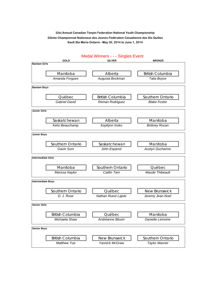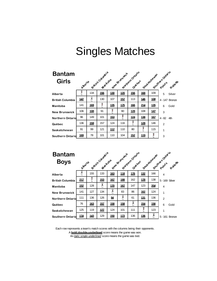| <b>Bantam</b>           |                                                             |            |     |             |            |                            |               |            |                 |  |  |
|-------------------------|-------------------------------------------------------------|------------|-----|-------------|------------|----------------------------|---------------|------------|-----------------|--|--|
| <b>Girls</b>            | British Columbia<br>New Britishick<br>Maritoloa<br>Albertia |            |     |             |            | Northern Ontario<br>Quebec | Seat atchewan |            | Southernotation |  |  |
| Alberta                 | ۰                                                           | 134        | 156 | 130         | <u>120</u> | 156                        | 168           | 109        | 5<br>Silver     |  |  |
| <b>British Columbia</b> | 147                                                         | 2<br>ι.    | 130 | 107         | 157        | 113                        | 146           | 108        | 4 - 147 Bronze  |  |  |
| Manitoba                | 141                                                         | <u>169</u> | Х   | 135         | 175        | <u>166</u>                 | 214           | 135        | 6<br>Gold       |  |  |
| <b>New Brunswick</b>    | 106                                                         | <u>108</u> | 91  | X<br>w      | 90         | 128                        | 108           | <u>147</u> | 3               |  |  |
| <b>Northern Ontario</b> | 96                                                          | 149        | 101 | <u>153</u>  | X<br>u     | <u>124</u>                 | 138           | <u>167</u> | $4 - 82$<br>4th |  |  |
| Québec                  | 136                                                         | 159        | 157 | 124         | 116        | ዩ                          | 128           | 146        | 2               |  |  |
| Saskatchewan            | 91                                                          | 99         | 121 | <u> 112</u> | 110        | 80                         | Χ             | 115        | 1               |  |  |
| <b>Southern Ontarid</b> | 169                                                         | 78         | 101 | 110         | 104        | <u>152</u>                 | <u> 119</u>   | X          | 3               |  |  |

| <b>Bantam</b><br><b>Boys</b> | Aperte     |            |             | Nortream Ontario<br>British Columbia<br>New Britishick<br>Quebec |            |     |            |     | Saskatchewan Points of<br>adleries |
|------------------------------|------------|------------|-------------|------------------------------------------------------------------|------------|-----|------------|-----|------------------------------------|
|                              |            |            |             |                                                                  |            |     |            |     |                                    |
| Alberta                      | Č          | 155        | 133         | 163                                                              | 118        | 176 | 132        | 166 | 4                                  |
| <b>British Columbia</b>      | 217        | γ          | <u>153</u>  | <u>167</u>                                                       | 188        | 162 | <u>178</u> | 138 | 5 - 169 Silver                     |
| Manitoba                     | <u>152</u> | 128        | Â<br>ι.     | 170                                                              | <b>16Z</b> | 147 | 123        | 204 | $\overline{4}$                     |
| <b>New Brunswick</b>         | 141        | 127        | 134         | ĉ                                                                | 83         | 86  | 162        | 124 | 1                                  |
| <b>Northern Ontario</b>      | 111        | 136        | 126         | ≝                                                                | Ê<br>ı.    | 61  | 131        | 136 | 2                                  |
| Québec                       | 76         | 163        | 157         | 158                                                              | 158        | ĉ   | <u>154</u> | 156 | 6<br>Gold                          |
| Saskatchewan                 | 125        | 119        | <u> 127</u> | 124                                                              | 101        | 111 | å          | 123 | 1                                  |
| <b>Southern Ontario</b>      | <u>174</u> | <u>143</u> | 129         | <b>150</b>                                                       | 173        | 136 | <u>136</u> | Ê   | 5 - 161 Bronze                     |

Each row represents a team's match scores with the columns being their opponents. A **bold double-underlined** score means the game was won. An *italic single-underlined* score means the game was tied.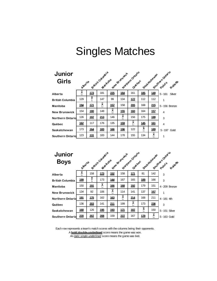| Junior<br><b>Girls</b>  | Alberta    |             | British County's<br>Martopa |            | New Bringwick | Northern Ontatio<br>Quebec |            | Sast atchewar | South Prints of Paris |
|-------------------------|------------|-------------|-----------------------------|------------|---------------|----------------------------|------------|---------------|-----------------------|
| Alberta                 | ĉ          | <u> 173</u> | 181                         | 225        | <u>184</u>    | 161                        | <u>185</u> | <u>149</u>    | $5 - 161$<br>Silver   |
| <b>British Columbia</b> | 129        | X<br>w      | 147                         | 99         | 134           | 177                        | 112        | 112           | 1                     |
| Manitoba                | <u>194</u> | <u>171</u>  | ĉ                           | 157        | 158           | 205                        | 168        | 215           | 5 - 156 Bronze        |
| <b>New Brunswick</b>    | 154        | <u>180</u>  | 148                         | ĉ          | <u>155</u>    | <u>160</u>                 | 164        | 157           | $\overline{4}$        |
| <b>Northern Ontario</b> | 126        | <u>197</u>  | 213                         | 146        | Ĉ             | 156                        | 175        | <u>199</u>    | 3                     |
| Québec                  | 162        | 117         | 176                         | 135        | <u>159</u>    | ĉ                          | 145        | 161           | 4                     |
| Saskatchewan            | 173        | <u>164</u>  | <u>183</u>                  | <u>166</u> | 196           | 122                        | 8          | 189           | 5-197 Gold            |
| <b>Southern Ontario</b> | 123        | <u> 131</u> | 183                         | 144        | 178           | 155                        | 134        | Ĉ             | 1                     |

| <b>Junior</b><br><b>Boys</b> | Abertia    |             | British Countel's<br>Maritoloa |            | New Stuffswork | Northern Ortario<br>Quebec |            | Sast atchewan | Southarnovaria |
|------------------------------|------------|-------------|--------------------------------|------------|----------------|----------------------------|------------|---------------|----------------|
| Alberta                      | ĉ          | 158         | <u>173</u>                     | <u>152</u> | 158            | <u> 171</u>                | 81         | 142           | 3              |
| <b>British Columbia</b>      | <u>199</u> | X<br>w      | 173                            | 144        | 167            | 165                        | 189        | 166           | 3              |
| Manitoba                     | 150        | <u>191</u>  | $\overline{c}$                 | <u>166</u> | 168            | <u>192</u>                 | 179        | 151           | 4 - 209 Bronze |
| <b>New Brunswick</b>         | 134        | 92          | 106                            | ĉ          | 114            | 141                        | 137        | <u>167</u>    | 1              |
| <b>Northern Ontario</b>      | <u>191</u> | <u>175</u>  | 162                            | <u>163</u> | ĉ              | 214                        | 168        | 211           | 4 - 181 4th    |
| Québec                       | 136        | 2 <u>03</u> | 141                            | <u>211</u> | 199            | ĉ                          | 173        | 236           | 3              |
| Saskatchewan                 | <u>168</u> | 126         | <u>195</u>                     | <u>193</u> | <u>171</u>     | <u>187</u>                 | 8          | 150           | 5 - 151 Silver |
| <b>Southern Ontario</b>      | 220        | 207         | 208                            | 159        | 227            | 167                        | <u>179</u> | ĥ             | 5 - 163 Gold   |

Each row represents a team's match scores with the columns being their opponents. A **bold double-underlined** score means the game was won. An *italic single-underlined* score means the game was tied.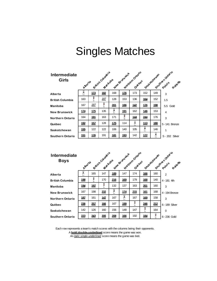| Intermediate<br><b>Girls</b> | Alberta    |            | British Country's |                   | New Britishick | Northern Ortaxio<br>Quebec |             | South Points Rater<br>Saskatchewan |                |  |  |
|------------------------------|------------|------------|-------------------|-------------------|----------------|----------------------------|-------------|------------------------------------|----------------|--|--|
| Alberta                      | R          | 173        | 182               | 168               | 176            | 173                        | 152         | 149                                | 3              |  |  |
| <b>British Columbia</b>      | 163        | X<br>٠.    | <u>187</u>        | 128               | 153            | 136                        | <u>164</u>  | 152                                | 1.5            |  |  |
| Manitoba                     | 167        | <u>187</u> | X<br>u            | $\underline{201}$ | 186            | 142                        | 176         | <u>198</u>                         | 5.5 Gold       |  |  |
| <b>New Brunswick</b>         | <u>174</u> | 175        | 135               | Â<br>ι.           | <u>191</u>     | 162                        | 146         | 153                                | $\overline{4}$ |  |  |
| <b>Northern Ontario</b>      | 164        | <u>191</u> | 163               | 171               | Χ              | <u>144</u>                 | <u>244</u>  | 176                                | 3              |  |  |
| Québec                       | <u>192</u> | 157        | 128               | 175               | 114            | Â                          | <u> 113</u> | <u>180</u>                         | 5 - 141 Bronze |  |  |
| Saskatchewan                 | 155        | 122        | 122               | 106               | 140            | 105                        | Â           | 146                                | 1              |  |  |
| <b>Southern Ontario</b>      | <u>151</u> | 176        | 191               | <u>181</u>        | <u> 193</u>    | 142                        | <u>172</u>  | ñ                                  | 5 - 202 Silver |  |  |

| Intermediate<br><b>Boys</b> | Alberta    |            | British Countalis<br>Mantopa |     | New Stunswork | Northern Ortario<br>Quebec |            | Saskatchewan | Southernotation |
|-----------------------------|------------|------------|------------------------------|-----|---------------|----------------------------|------------|--------------|-----------------|
| Alberta                     | Â<br>ι.    | 165        | 147                          | 189 | 147           | 174                        | <b>166</b> | 160          | $\overline{2}$  |
| <b>British Columbia</b>     | <u>198</u> | Х          | 170                          | 216 | <u>169</u>    | 179                        | 168        | 140          | 4 - 181 4th     |
| Manitoba                    | <u>194</u> | <u>197</u> | X                            | 132 | 137           | 163                        | 201        | 160          | 3               |
| <b>New Brunswick</b>        | 167        | 198        | 232                          | ĉ   | 174           | 215                        | <u>161</u> | 168          | 4 - 194 Bronze  |
| Northern Ontario            | 187        | 161        | 147                          | 167 | v.<br>Č       | 167                        | <u>169</u> | 158          | 3               |
| Québec                      | 236        | 25Z        | <u>166</u>                   | 167 | 199           | ł                          | 246        | 212          | 6 - 189 Silver  |
| Saskatchewan                | 142        | 126        | 160                          | 156 | 148           | 147                        | Χ<br>u     | 164          | $\Omega$        |
| Southern Ontario            | 223        | 243        | 205                          | 208 | <u>166</u>    | 192                        | <u>184</u> | X            | 6-236 Gold      |

An *italic single-underlined* score means the game was tied. Each row represents a team's match scores with the columns being their opponents. A **bold double-underlined** score means the game was won.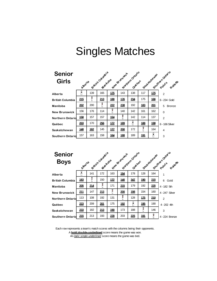| <b>Senior</b><br><b>Girls</b> | Alberta    |            | British Country's<br>Martopa |                  | New Stunswork | Northern Ontailo<br>Quebec |            | Saskatchewan | Southernotation    |
|-------------------------------|------------|------------|------------------------------|------------------|---------------|----------------------------|------------|--------------|--------------------|
| Alberta                       | Â          | 139        | 165                          | 175              | 143           | 138                        | 117        | 175          | 2                  |
| <b>British Columbia</b>       | 215        | X<br>u     | 213                          | 188              | 176           | 234                        | 175        | 166          | 6-234 Gold         |
| Manitoba                      | 202        | 200        | ጾ                            | $\overline{222}$ | 238           | 192                        | <u>183</u> | 201          | 5<br><b>Bronze</b> |
| <b>New Brunswick</b>          | 156        | 176        | 114                          | X<br>۰.          | 140           | 142                        | 161        | 162          | $\mathbf 0$        |
| <b>Northern Ontario</b>       | 158        | 157        | 157                          | 154              | X<br>٠.       | 142                        | 114        | 137          | $\overline{2}$     |
| Québec                        | 203        | 170        | 256                          | 172              | <u>189</u>    | Ĉ                          | 188        | <u>198</u>   | 6 - 166 Silver     |
| Saskatchewan                  | <u>148</u> | <u>182</u> | 145                          | 177              | 200           | 172                        | L          | 164          | 4                  |
| <b>Southern Ontario</b>       | 157        | 163        | 158                          | 164              | 188           | 189                        | <u>191</u> | ĉ            | 3                  |

| <b>Senior</b><br><b>Boys</b> | Aberta     |     |            | Earthur Columbia<br>New Britishick |             | Northern Ontano |            | Saskatchewan | Southernotatio |
|------------------------------|------------|-----|------------|------------------------------------|-------------|-----------------|------------|--------------|----------------|
|                              |            |     |            |                                    |             |                 |            |              |                |
| Alberta                      | Â          | 141 | 172        | 163                                | <u>194</u>  | 178             | 128        | 164          | 1              |
| <b>British Columbia</b>      | <u>183</u> | χ   | 150        | <u>172</u>                         | <u>140</u>  | 247             | 190        | 215          | Gold<br>6      |
| Manitoba                     | <u>205</u> | 214 | f.         | 171                                | <u> 215</u> | 179             | 192        | 225          | 4 - 182 5th    |
| <b>New Brunswick</b>         | <u>211</u> | 147 | <u>213</u> | X<br>ı.                            | 200         | <u>198</u>      | 154        | 160          | 4 - 247 Silver |
| <b>Northern Ontario</b>      | 113        | 108 | 192        | 131                                | X           | 128             | <u>175</u> | 210          | $\mathfrak{p}$ |
| Québec                       | 223        | 209 | <u>201</u> | 175                                | <u> 192</u> | n.<br>A         | 195        | 190          | 4 - 202 4th    |
| Saskatchewan                 | 233        | 182 | 213        | <u>190</u>                         | 173         | 188             | Х<br>u     | 146          | 3              |
| <b>Southern Ontario</b>      | 215        | 213 | 193        | 278                                | 203         | 225             | <u>191</u> | 9            | 4 - 224 Bronze |

Each row represents a team's match scores with the columns being their opponents. A **bold double-underlined** score means the game was won. An *italic single-underlined* score means the game was tied.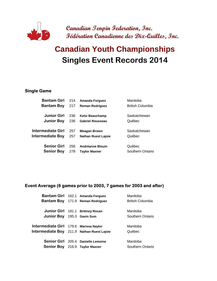

# **Singles Event Records 2014 Canadian Youth Championships**

#### **Single Game**

| <b>Bantam Girl</b>      | 214 | <b>Amanda Forgues</b>      | Manitoba                |
|-------------------------|-----|----------------------------|-------------------------|
| <b>Bantam Boy</b>       | 217 | <b>Reman Rodriguez</b>     | <b>British Columbia</b> |
| <b>Junior Girl</b>      | 236 | Kelsi Beauchamp            | Saskatchewan            |
| <b>Junior Boy</b>       | 236 | <b>Gabriel Rousseau</b>    | Québec                  |
| Intermediate Girl       | 257 | <b>Meagan Brown</b>        | Saskatchewan            |
| <b>Intermediate Boy</b> | 257 | <b>Nathan Ruest Lajoie</b> | Québec                  |
| <b>Senior Girl</b>      | 256 | Andréanne Blouin           | Québec                  |
| <b>Senior Boy</b>       | 278 | <b>Taylor Maxner</b>       | Southern Ontario        |

#### **Event Average (6 games prior to 2003, 7 games for 2003 and after)**

|                                            | Bantam Girl 162.1 Amanda Forgues   | Manitoba                |
|--------------------------------------------|------------------------------------|-------------------------|
|                                            | Bantam Boy 171.9 Reman Rodriguez   | <b>British Columbia</b> |
|                                            |                                    |                         |
|                                            | Junior Girl 181.1 Brittney Rocan   | Manitoba                |
| <b>Junior Boy</b>                          | 195.3 Gavin Sum                    | Southern Ontario        |
|                                            |                                    |                         |
| Intermediate Girl 179.6 Marissa Naylor     |                                    | Manitoba                |
| Intermediate Boy 211.9 Nathan Ruest Lajoie |                                    | Québec                  |
|                                            |                                    |                         |
|                                            | Senior Girl 205.4 Danielle Lemoine | Manitoba                |
| <b>Senior Boy</b> 216.9 Taylor Maxner      |                                    | Southern Ontario        |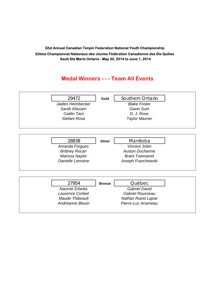### **Medal Winners - - - Team All Events**

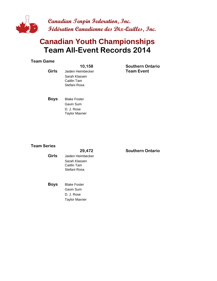

## **Team All-Event Records 2014 Canadian Youth Championships**

#### **Team Game**

|       | 10.156            | <b>Soutnern Un</b> |
|-------|-------------------|--------------------|
| Girls | Jaiden Heimbecker | <b>Team Event</b>  |
|       | Sarah Klassen     |                    |
|       | Caitlin Tam       |                    |
|       | Stefani Rosa      |                    |
|       |                   |                    |

**10,158 SO Southern Ontario**

**Boys** Blake Foster Gavin Sum D. J. Rose Taylor Maxner

#### **Team Series**

### **29,472 SO Southern Ontario Girls** Jaiden Heimbecker Sarah Klassen Caitlin Tam Stefani Rosa **Boys** Blake Foster Gavin Sum D. J. Rose

Taylor Maxner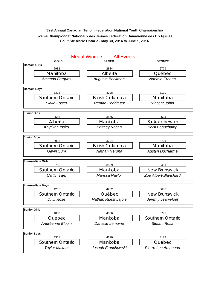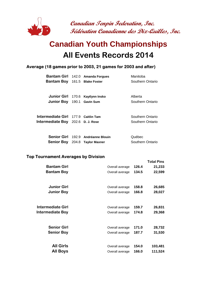

## **All Events Records 2014 Canadian Youth Championships**

#### **Average (18 games prior to 2003, 21 games for 2003 and after)**

|                                          | Bantam Girl 142.0 Amanda Forgues      | Manitoba         |
|------------------------------------------|---------------------------------------|------------------|
| <b>Bantam Boy</b> 161.5 Blake Foster     |                                       | Southern Ontario |
|                                          |                                       |                  |
|                                          | Junior Girl 170.6 Kaytlynn Insko      | Alberta          |
| Junior Boy 190.1 Gavin Sum               |                                       | Southern Ontario |
|                                          |                                       |                  |
| Intermediate Girl 177.9 Caitlin Tam      |                                       | Southern Ontario |
| <b>Intermediate Boy</b> 202.6 D. J. Rose |                                       | Southern Ontario |
|                                          |                                       |                  |
|                                          | Senior Girl 192.9 Andréanne Blouin    | Québec           |
|                                          | <b>Senior Boy</b> 204.8 Taylor Maxner | Southern Ontario |

#### **Top Tournament Averages by Division**

| <b>Bantam Girl</b>      | Overall average | 126.4 | TOLAI PINS<br>21,233 |
|-------------------------|-----------------|-------|----------------------|
| <b>Bantam Boy</b>       | Overall average | 134.5 | 22,599               |
| <b>Junior Girl</b>      | Overall average | 158.8 | 26,685               |
| <b>Junior Boy</b>       | Overall average | 166.8 | 28,027               |
| Intermediate Girl       | Overall average | 159.7 | 26,831               |
| <b>Intermediate Boy</b> | Overall average | 174.8 | 29,368               |
| <b>Senior Girl</b>      | Overall average | 171.0 | 28,732               |
| <b>Senior Boy</b>       | Overall average | 187.7 | 31,530               |
| <b>All Girls</b>        | Overall average | 154.0 | 103,481              |
| <b>All Boys</b>         | Overall average | 166.0 | 111,524              |

**Total Pins**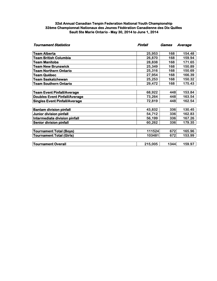| <b>Tournament Statistics</b>         | Pinfall | Games | Average |  |
|--------------------------------------|---------|-------|---------|--|
| <b>Team Alberta</b>                  | 25,953  | 168   | 154.48  |  |
| <b>Team British Columbia</b>         | 26,870  | 168   | 159.94  |  |
| <b>Team Manitoba</b>                 | 28,838  | 168   | 171.65  |  |
| Team New Brunswick                   | 25,349  | 168   | 150.89  |  |
| Team Northern Ontario                | 25,316  | 168   | 150.69  |  |
| Team Québec                          | 27,954  | 168   | 166.39  |  |
| <b>Team Saskatchewan</b>             | 25,253  | 168   | 150.32  |  |
| <b>Team Southern Ontario</b>         | 29,472  | 168   | 175.43  |  |
| <b>Team Event Pinfall/Average</b>    | 68,922  | 448   | 153.84  |  |
| <b>Doubles Event Pinfall/Average</b> | 73,264  | 448   | 163.54  |  |
| <b>Singles Event Pinfall/Average</b> | 72,819  | 448   | 162.54  |  |
| <b>Bantam division pinfall</b>       | 43,832  | 336   | 130.45  |  |
| <b>Junior division pinfall</b>       | 54,712  | 336   | 162.83  |  |
| Intermediate division pinfall        | 56,199  | 336   | 167.26  |  |
| <b>Senior division pinfall</b>       | 60,262  | 336   | 179.35  |  |
| <b>Tournament Total (Boys)</b>       | 111524  | 672   | 165.96  |  |
| <b>Tournament Total (Girls)</b>      | 103481  | 672   | 153.99  |  |
| <b>Tournament Overall</b>            | 215,005 | 1344  | 159.97  |  |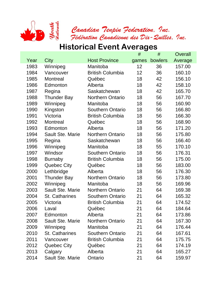

Canadian Tenpin Federation. Inc.<br>Federation Canadienne des Dix-Quilles. Inc.<br>Historical Event Averages

|      |                       |                         | #     | #       | Overall |
|------|-----------------------|-------------------------|-------|---------|---------|
| Year | City                  | <b>Host Province</b>    | games | bowlers | Average |
| 1983 | Winnipeg              | Manitoba                | 12    | 36      | 157.00  |
| 1984 | Vancouver             | <b>British Columbia</b> | 12    | 36      | 160.10  |
| 1985 | <b>Montreal</b>       | Québec                  | 18    | 42      | 156.10  |
| 1986 | Edmonton              | Alberta                 | 18    | 42      | 158.10  |
| 1987 | Regina                | Saskatchewan            | 18    | 42      | 165.70  |
| 1988 | <b>Thunder Bay</b>    | <b>Northern Ontario</b> | 18    | 56      | 167.70  |
| 1989 | Winnipeg              | Manitoba                | 18    | 56      | 160.90  |
| 1990 | Kingston              | <b>Southern Ontario</b> | 18    | 56      | 166.80  |
| 1991 | Victoria              | <b>British Columbia</b> | 18    | 56      | 166.30  |
| 1992 | <b>Montreal</b>       | Québec                  | 18    | 56      | 168.90  |
| 1993 | Edmonton              | Alberta                 | 18    | 56      | 171.20  |
| 1994 | Sault Ste. Marie      | <b>Northern Ontario</b> | 18    | 56      | 175.80  |
| 1995 | Regina                | Saskatchewan            | 18    | 56      | 166.40  |
| 1996 | Winnipeg              | Manitoba                | 18    | 55      | 170.10  |
| 1997 | Windsor               | <b>Southern Ontario</b> | 18    | 56      | 176.31  |
| 1998 | <b>Burnaby</b>        | <b>British Columbia</b> | 18    | 56      | 175.00  |
| 1999 | <b>Quebec City</b>    | Québec                  | 18    | 56      | 183.00  |
| 2000 | Lethbridge            | Alberta                 | 18    | 56      | 176.30  |
| 2001 | <b>Thunder Bay</b>    | <b>Northern Ontario</b> | 18    | 56      | 173.80  |
| 2002 | Winnipeg              | Manitoba                | 18    | 56      | 169.96  |
| 2003 | Sault Ste. Marie      | <b>Northern Ontario</b> | 21    | 64      | 169.38  |
| 2004 | <b>St. Catharines</b> | <b>Southern Ontario</b> | 21    | 64      | 165.32  |
| 2005 | Victoria              | <b>British Columbia</b> | 21    | 64      | 174.52  |
| 2006 | Laval                 | Québec                  | 21    | 64      | 184.64  |
| 2007 | Edmonton              | Alberta                 | 21    | 64      | 173.86  |
| 2008 | Sault Ste. Marie      | Northern Ontario        | 21    | 64      | 167.30  |
| 2009 | Winnipeg              | Manitoba                | 21    | 64      | 176.44  |
| 2010 | <b>St. Catharines</b> | <b>Southern Ontario</b> | 21    | 64      | 167.61  |
| 2011 | Vancouver             | <b>British Columbia</b> | 21    | 64      | 175.75  |
| 2012 | <b>Quebec City</b>    | Québec                  | 21    | 64      | 174.19  |
| 2013 | Calgary               | Alberta                 | 21    | 64      | 165.27  |
| 2014 | Sault Ste. Marie      | Ontario                 | 21    | 64      | 159.97  |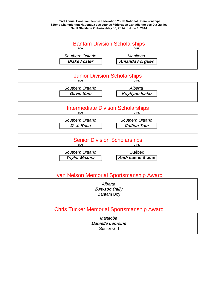

### Ivan Nelson Memorial Sportsmanship Award

*Alberta* **Dawson Daily** Bantam Boy

### Chris Tucker Memorial Sportsmanship Award

*Manitoba* **Danielle Lemoine** Senior Girl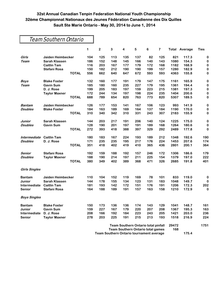| Team Southern Ontario |                      |              |     |                                          |             |                                            |     |     |                         |       |                      |             |
|-----------------------|----------------------|--------------|-----|------------------------------------------|-------------|--------------------------------------------|-----|-----|-------------------------|-------|----------------------|-------------|
|                       |                      |              | 1   | $\overline{\mathbf{2}}$                  | $\mathbf 3$ | 4                                          | 5   | 6   | $\overline{\mathbf{r}}$ |       | <b>Total Average</b> | <b>Ties</b> |
| Girls                 | Jaiden Heimbecker    |              | 104 | 125                                      | 113         | 135                                        | 137 | 82  | 125                     | 821   | 117.3                | 0           |
| <b>Team</b>           | <b>Sarah Klassen</b> |              | 186 | 152                                      | 148         | 145                                        | 166 | 140 | 143                     | 1080  | 154.3                | $\bf{0}$    |
|                       | <b>Caitlin Tam</b>   |              | 116 | 203                                      | 167         | 177                                        | 179 | 172 | 168                     | 1182  | 168.9                | 0           |
|                       | Stefani Rosa         |              | 150 | 182                                      | 212         | 190                                        | 190 | 199 | 157                     | 1280  | 182.9                | $\bf{0}$    |
|                       |                      | <b>TOTAL</b> | 556 | 662                                      | 640         | 647                                        | 672 | 593 | 593                     | 4363  | 155.8                | 0           |
| <b>Boys</b>           | <b>Blake Foster</b>  |              | 132 | 160                                      | 177         | 191                                        | 179 | 147 | 175                     | 1161  | 165.9                | $\bf{0}$    |
| <b>Team</b>           | <b>Gavin Sum</b>     |              | 185 | 180                                      | 160         | 235                                        | 227 | 179 | 195                     | 1361  | 194.4                | 0           |
|                       | D. J. Rose           |              | 199 | 205                                      | 183         | 197                                        | 159 | 223 | 215                     | 1381  | 197.3                | $\bf{0}$    |
|                       | <b>Taylor Maxner</b> |              | 172 | 244                                      | 134         | 197                                        | 198 | 224 | 235                     | 1404  | 200.6                | $\bf{0}$    |
|                       |                      | <b>TOTAL</b> | 688 | 789                                      | 654         | 820                                        | 763 | 773 | 820                     | 5307  | 189.5                | 0           |
| <b>Bantam</b>         | Jaiden Heimbecker    |              | 126 | 177                                      | 153         | 141                                        | 167 | 106 | 123                     | 993   | 141.9                | $\bf{0}$    |
| <b>Doubles</b>        | <b>Blake Foster</b>  |              | 184 | 163                                      | 189         | 169                                        | 164 | 137 | 184                     | 1190  | 170.0                | 0           |
|                       |                      | <b>TOTAL</b> | 310 | 340                                      | 342         | 310                                        | 331 | 243 | 307                     | 2183  | 155.9                | 0           |
| Junior                | <b>Sarah Klassen</b> |              | 144 | 203                                      | 217         | 191                                        | 206 | 140 | 124                     | 1225  | 175.0                | $\bf{0}$    |
| <b>Doubles</b>        | <b>Gavin Sum</b>     |              | 128 | 190                                      | 201         | 197                                        | 191 | 189 | 168                     | 1264  | 180.6                | 0           |
|                       |                      | <b>TOTAL</b> | 272 | 393                                      | 418         | 388                                        | 397 | 329 | 292                     | 2489  | 177.8                | 0           |
| Intermediate          | <b>Caitlin Tam</b>   |              | 180 | 183                                      | 167         | 224                                        | 193 | 189 | 212                     | 1348  | 192.6                | 190         |
| <b>Doubles</b>        | D. J. Rose           |              | 171 | 235                                      | 235         | 195                                        | 217 | 176 | 224                     | 1453  | 207.6                | 174         |
|                       |                      | <b>TOTAL</b> | 351 | 418                                      | 402         | 419                                        | 410 | 365 | 436                     | 2801  | 200.1                | 364         |
| Senior                | Stefani Rosa         |              | 192 | 159                                      | 188         | 192                                        | 157 | 246 | 172                     | 1306  | 186.6                | 179         |
| <b>Doubles</b>        | <b>Taylor Maxner</b> |              | 188 | 190                                      | 214         | 197                                        | 211 | 225 | 154                     | 1379  | 197.0                | 222         |
|                       |                      | <b>TOTAL</b> | 380 | 349                                      | 402         | 389                                        | 368 | 471 | 326                     | 2685  | 191.8                | 401         |
| <b>Girls Singles</b>  |                      |              |     |                                          |             |                                            |     |     |                         |       |                      |             |
| <b>Bantam</b>         | Jaiden Heimbecker    |              | 110 | 104                                      | 152         | 119                                        | 169 | 78  | 101                     | 833   | 119.0                | 0           |
| Junior                | <b>Sarah Klassen</b> |              | 144 | 178                                      | 155         | 134                                        | 123 | 131 | 183                     | 1048  | 149.7                | 0           |
| Intermediate          | <b>Caitlin Tam</b>   |              | 181 | 193                                      | 142         | 172                                        | 151 | 176 | 191                     | 1206  | 172.3                | 202         |
| <b>Senior</b>         | Stefani Rosa         |              | 164 | 188                                      | 189         | 191                                        | 157 | 163 | 158                     | 1210  | 172.9                | 0           |
| <b>Boys Singles</b>   |                      |              |     |                                          |             |                                            |     |     |                         |       |                      |             |
| <b>Bantam</b>         | <b>Blake Foster</b>  |              | 150 | 173                                      | 136         | 136                                        | 174 | 143 | 129                     | 1041  | 148.7                | 161         |
| Junior                | <b>Gavin Sum</b>     |              | 159 | 227                                      | 167         | 179                                        | 220 | 207 | 208                     | 1367  | 195.3                | 163         |
| Intermediate          | D. J. Rose           |              | 208 | 166                                      | 192         | 184                                        | 223 | 243 | 205                     | 1421  | 203.0                | 236         |
| Senior                | <b>Taylor Maxner</b> |              | 278 | 203                                      | 225         | 191                                        | 215 | 213 | 193                     | 1518  | 216.9                | 224         |
|                       |                      |              |     |                                          |             | <b>Team Southern Ontario total pinfall</b> |     |     |                         | 29472 |                      | 1751        |
|                       |                      |              |     | <b>Team Southern Ontario total games</b> |             |                                            |     |     |                         | 168   |                      |             |

**Team Southern Ontario tournament average 175.4**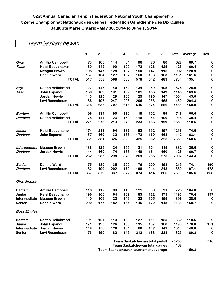## Team Saskatchewan

|                      |                          | 1   | $\overline{2}$                              | 3   | 4                                    | 5   | 6   | 7   | Total | Average | <b>Ties</b> |
|----------------------|--------------------------|-----|---------------------------------------------|-----|--------------------------------------|-----|-----|-----|-------|---------|-------------|
| Girls                | <b>Amillia Campbell</b>  | 73  | 105                                         | 114 | 84                                   | 96  | 76  | 80  | 628   | 89.7    | 0           |
| <b>Team</b>          | <b>Kelsi Beauchamp</b>   | 169 | 142                                         | 199 | 190                                  | 172 | 126 | 125 | 1123  | 160.4   | 0           |
|                      | <b>Meagan Brown</b>      | 108 | 147                                         | 128 | 107                                  | 150 | 147 | 115 | 902   | 128.9   | $\bf{0}$    |
|                      | <b>Dannie Ward</b>       | 167 | 164                                         | 127 | 157                                  | 160 | 193 | 163 | 1131  | 161.6   | $\bf{0}$    |
|                      | <b>TOTAL</b>             | 517 | 558                                         | 568 | 538                                  | 578 | 542 | 483 | 3784  | 135.1   | 0           |
| <b>Boys</b>          | <b>Dalton Hellebrand</b> | 127 | 148                                         | 140 | 132                                  | 134 | 89  | 105 | 875   | 125.0   | $\bf{0}$    |
| <b>Team</b>          | <b>John Espanol</b>      | 160 | 169                                         | 191 | 139                                  | 181 | 156 | 149 | 1145  | 163.6   | $\bf{0}$    |
|                      | <b>Jordan Howie</b>      | 143 | 125                                         | 129 | 136                                  | 125 | 196 | 147 | 1001  | 143.0   | $\bf{0}$    |
|                      | Levi Rosenbaum           | 188 | 193                                         | 247 | 208                                  | 206 | 233 | 155 | 1430  | 204.3   | $\bf{0}$    |
|                      | <b>TOTAL</b>             | 618 | 635                                         | 707 | 615                                  | 646 | 674 | 556 | 4451  | 159.0   | 0           |
| Bantam               | <b>Amillia Campbell</b>  | 96  | 134                                         | 90  | 110                                  | 115 | 102 | 99  | 746   | 106.6   | $\bf{0}$    |
| <b>Doubles</b>       | <b>Dalton Hellebrand</b> | 175 | 144                                         | 123 | 169                                  | 118 | 84  | 100 | 913   | 130.4   | 0           |
|                      | <b>TOTAL</b>             | 271 | 278                                         | 213 | 279                                  | 233 | 186 | 199 | 1659  | 118.5   | 0           |
| <b>Junior</b>        | <b>Kelsi Beauchamp</b>   | 174 | 212                                         | 194 | 137                                  | 152 | 192 | 157 | 1218  | 174.0   | $\bf{0}$    |
| <b>Doubles</b>       | <b>John Espanol</b>      | 157 | 169                                         | 132 | 183                                  | 173 | 160 | 168 | 1142  | 163.1   | 0           |
|                      | <b>TOTAL</b>             | 331 | 381                                         | 326 | 320                                  | 325 | 352 | 325 | 2360  | 168.6   | 0           |
| <b>Intermediate</b>  | <b>Meagan Brown</b>      | 138 | 125                                         | 124 | 155                                  | 121 | 104 | 115 | 882   | 126.0   | $\bf{0}$    |
| <b>Doubles</b>       | <b>Jordan Howie</b>      | 144 | 160                                         | 174 | 188                                  | 148 | 151 | 160 | 1125  | 160.7   | $\bf{0}$    |
|                      | <b>TOTAL</b>             | 282 | 285                                         | 298 | 343                                  | 269 | 255 | 275 | 2007  | 143.4   | 0           |
| Senior               | <b>Dannie Ward</b>       | 175 | 180                                         | 135 | 200                                  | 176 | 200 | 153 | 1219  | 174.1   | 190         |
| <b>Doubles</b>       | Levi Rosenbaum           | 182 | 199                                         | 202 | 172                                  | 198 | 214 | 213 | 1380  | 197.1   | 178         |
|                      | <b>TOTAL</b>             | 357 | 379                                         | 337 | 372                                  | 374 | 414 | 366 | 2599  | 185.6   | 368         |
| <b>Girls Singles</b> |                          |     |                                             |     |                                      |     |     |     |       |         |             |
| <b>Bantam</b>        | <b>Amillia Campbell</b>  | 110 | 112                                         | 99  | 115                                  | 121 | 80  | 91  | 728   | 104.0   | 0           |
| Junior               | <b>Kelsi Beauchamp</b>   | 196 | 166                                         | 164 | 189                                  | 183 | 122 | 173 | 1193  | 170.4   | 197         |
| Intermediate         | <b>Meagan Brown</b>      | 140 | 106                                         | 122 | 146                                  | 122 | 105 | 155 | 896   | 128.0   | 0           |
| Senior               | <b>Dannie Ward</b>       | 200 | 177                                         | 182 | 164                                  | 145 | 172 | 148 | 1188  | 169.7   | 0           |
| <b>Boys Singles</b>  |                          |     |                                             |     |                                      |     |     |     |       |         |             |
| <b>Bantam</b>        | <b>Dalton Hellebrand</b> | 101 | 124                                         | 119 | 123                                  | 127 | 111 | 125 | 830   | 118.6   | $\bf{0}$    |
| Junior               | John Espanol             | 171 | 193                                         | 126 | 150                                  | 195 | 187 | 168 | 1190  | 170.0   | 151         |
| Intermediate         | <b>Jordan Howie</b>      | 148 | 156                                         | 126 | 164                                  | 160 | 147 | 142 | 1043  | 149.0   | $\bf{0}$    |
| Senior               | Levi Rosenbaum           | 173 | 190                                         | 182 | 146                                  | 213 | 188 | 233 | 1325  | 189.3   | 0           |
|                      |                          |     |                                             |     | Team Saskatchewan total pinfall      |     |     |     | 25253 |         | 716         |
|                      |                          |     | <b>Team Saskatchewan total games</b><br>168 |     |                                      |     |     |     |       |         |             |
|                      |                          |     |                                             |     | Team Saskatchewan tournament average |     |     |     |       | 150.3   |             |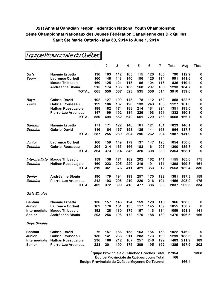|                      |                            | 1                                          | $\mathbf 2$ | 3   | 4   | 5   | $\bf 6$ | 7   | Total | Avg   | <b>Ties</b> |
|----------------------|----------------------------|--------------------------------------------|-------------|-----|-----|-----|---------|-----|-------|-------|-------------|
| Girls                | <b>Naomie Erbetta</b>      | 130                                        | 103         | 112 | 105 | 115 | 120     | 105 | 790   | 112.9 | 0           |
| Team                 | <b>Laurence Corbeil</b>    | 160                                        | 148         | 148 | 140 | 156 | 125     | 114 | 991   | 141.6 | 0           |
|                      | <b>Maude Thibeault</b>     | 160                                        | 125         | 121 | 115 | 96  | 104     | 115 | 836   | 119.4 | $\pmb{0}$   |
|                      | <b>Andréanne Blouin</b>    | 215                                        | 174         | 186 | 163 | 168 | 207     | 180 | 1293  | 184.7 | 0           |
|                      | <b>TOTAL</b>               | 665                                        | 550         | 567 | 523 | 535 | 556     | 514 | 3910  | 139.6 | 0           |
| Boys                 | <b>Gabriel David</b>       | 102                                        | 127         | 109 | 148 | 78  | 112     | 182 | 858   | 122.6 | 0           |
| Team                 | <b>Gabriel Rousseau</b>    | 122                                        | 186         | 187 | 120 | 133 | 243     | 136 | 1127  | 161.0 | 0           |
|                      | <b>Nathan Ruest Lajoie</b> | 188                                        | 182         | 174 | 188 | 214 | 181     | 224 | 1351  | 193.0 | 0           |
|                      | Pierre-Luc Arseneau        | 147                                        | 199         | 192 | 184 | 226 | 193     | 191 | 1332  | 190.3 | 0           |
|                      | <b>TOTAL</b>               | 559                                        | 694         | 662 | 640 | 651 | 729     | 733 | 4668  | 166.7 | 0           |
| Bantam               | <b>Naomie Erbetta</b>      | 171                                        | 171         | 122 | 146 | 161 | 121     | 131 | 1023  | 146.1 | 0           |
| <b>Doubles</b>       | <b>Gabriel David</b>       | 116                                        | 84          | 167 | 158 | 135 | 141     | 163 | 964   | 137.7 | 0           |
|                      | <b>TOTAL</b>               | 287                                        | 255         | 289 | 304 | 296 | 262     | 294 | 1987  | 141.9 | 0           |
| Junior               | <b>Laurence Corbeil</b>    | 160                                        | 159         | 149 | 179 | 137 | 147     | 123 | 1054  | 150.6 | 0           |
| <b>Doubles</b>       | <b>Gabriel Rousseau</b>    | 204                                        | 214         | 165 | 166 | 183 | 161     | 207 | 1300  | 185.7 | 0           |
|                      | <b>TOTAL</b>               | 364                                        | 373         | 314 | 345 | 320 | 308     | 330 | 2354  | 168.1 | 0           |
| Intermediate         | <b>Maude Thibeault</b>     | 159                                        | 138         | 171 | 182 | 202 | 162     | 141 | 1155  | 165.0 | 175         |
| <b>Doubles</b>       | <b>Nathan Ruest Lajoie</b> | 160                                        | 223         | 205 | 229 | 219 | 191     | 171 | 1398  | 199.7 | 161         |
|                      | <b>TOTAL</b>               | 319                                        | 361         | 376 | 411 | 421 | 353     | 312 | 2553  | 182.4 | 336         |
| Senior               | <b>Andréanne Blouin</b>    | 190                                        | 179         | 194 | 199 | 257 | 170     | 192 | 1381  | 197.3 | 159         |
| <b>Doubles</b>       | Pierre-Luc Arseneau        | 212                                        | 193         | 205 | 219 | 220 | 216     | 191 | 1456  | 208.0 | 175         |
|                      | <b>TOTAL</b>               | 402                                        | 372         | 399 | 418 | 477 | 386     | 383 | 2837  | 202.6 | 334         |
| <b>Girls Singles</b> |                            |                                            |             |     |     |     |         |     |       |       |             |
| <b>Bantam</b>        | <b>Naomie Erbetta</b>      | 136                                        | 157         | 146 | 124 | 159 | 128     | 116 | 966   | 138.0 | 0           |
| Junior               | <b>Laurence Corbeil</b>    | 162                                        | 176         | 161 | 135 | 117 | 145     | 159 | 1055  | 150.7 | $\bf{0}$    |
| <b>Intermediate</b>  | <b>Maude Thibeault</b>     | 192                                        | 128         | 180 | 175 | 157 | 113     | 114 | 1059  | 151.3 | 141         |
| <b>Senior</b>        | <b>Andréanne Blouin</b>    | 203                                        | 256         | 198 | 172 | 170 | 188     | 189 | 1376  | 196.6 | 166         |
| <b>Boys Singles</b>  |                            |                                            |             |     |     |     |         |     |       |       |             |
| <b>Bantam</b>        | <b>Gabriel David</b>       | 76                                         | 157         | 156 | 158 | 163 | 154     | 158 | 1022  | 146.0 | $\bf{0}$    |
| Junior               | <b>Gabriel Rousseau</b>    | 136                                        | 141         | 236 | 211 | 203 | 173     | 199 | 1299  | 185.6 | $\bf{0}$    |
| Intermediate         | <b>Nathan Ruest Lajoie</b> | 236                                        | 166         | 212 | 167 | 257 | 246     | 199 | 1483  | 211.9 | 189         |
| <b>Senior</b>        | <b>Pierre-Luc Arseneau</b> | 223                                        | 201         | 190 | 175 | 209 | 195     | 192 | 1385  | 197.9 | 202         |
|                      |                            | Équipe Provinciale du Québec Broches Total |             |     |     |     |         |     | 27954 |       | 1368        |
|                      |                            |                                            |             |     |     |     |         |     |       |       |             |

Équipe Provinciale du Québec

**Équipe Provinciale du Québec Jours Total 168 Équipe Provinciale du Québec Moyenne De Tournoi 166.4**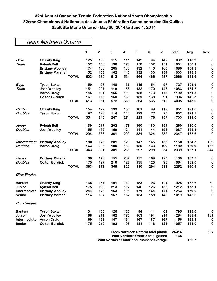## Team Northern Ontario

|                      |                          |              | 1   | $\overline{\mathbf{c}}$ | 3   | 4                                        | 5   | 6                                          | 7   | <b>Total</b> | Avg   | <b>Ties</b> |
|----------------------|--------------------------|--------------|-----|-------------------------|-----|------------------------------------------|-----|--------------------------------------------|-----|--------------|-------|-------------|
| Girls                | <b>Chasity King</b>      |              | 125 | 103                     | 115 | 111                                      | 142 | 94                                         | 142 | 832          | 118.9 | 0           |
| <b>Team</b>          | <b>Ryleah Bell</b>       |              | 152 | 158                     | 130 | 170                                      | 158 | 132                                        | 151 | 1051         | 150.1 | $\mathbf 0$ |
|                      | <b>Brittany Woolley</b>  |              | 174 | 166                     | 205 | 133                                      | 132 | 110                                        | 160 | 1080         | 154.3 | $\bf{0}$    |
|                      | <b>Brittney Marshall</b> |              | 152 | 153                     | 162 | 140                                      | 132 | 130                                        | 134 | 1003         | 143.3 | $\bf{0}$    |
|                      |                          | <b>TOTAL</b> | 603 | 580                     | 612 | 554                                      | 564 | 466                                        | 587 | 3966         | 141.6 | 0           |
| <b>Boys</b>          | <b>Tyson Baxter</b>      |              | 150 | 97                      | 148 | 66                                       | 115 | 54                                         | 97  | 727          | 103.9 | $\bf{0}$    |
| <b>Team</b>          | <b>Josh Woolley</b>      |              | 151 | 207                     | 119 | 158                                      | 132 | 170                                        | 146 | 1083         | 154.7 | $\bf{0}$    |
|                      | <b>Aaron Craig</b>       |              | 145 | 191                     | 155 | 199                                      | 158 | 173                                        | 178 | 1199         | 171.3 | $\bf{0}$    |
|                      | <b>Colton Burdick</b>    |              | 167 | 156                     | 150 | 135                                      | 159 | 138                                        | 91  | 996          | 142.3 | $\bf{0}$    |
|                      |                          | <b>TOTAL</b> | 613 | 651                     | 572 | 558                                      | 564 | 535                                        | 512 | 4005         | 143.0 | $\bf{0}$    |
| <b>Bantam</b>        | <b>Chasity King</b>      |              | 154 | 122                     | 133 | 130                                      | 101 | 99                                         | 112 | 851          | 121.6 | $\bf{0}$    |
| <b>Doubles</b>       | <b>Tyson Baxter</b>      |              | 197 | 123                     | 114 | 144                                      | 122 | 77                                         | 75  | 852          | 121.7 | $\bf{0}$    |
|                      |                          | <b>TOTAL</b> | 351 | 245                     | 247 | 274                                      | 223 | 176                                        | 187 | 1703         | 121.6 | $\bf{0}$    |
| Junior               | <b>Ryleah Bell</b>       |              | 139 | 217                     | 202 | 178                                      | 190 | 180                                        | 154 | 1260         | 180.0 | $\bf{0}$    |
| <b>Doubles</b>       | <b>Josh Woolley</b>      |              | 155 | 169                     | 159 | 121                                      | 141 | 144                                        | 198 | 1087         | 155.3 | $\bf{0}$    |
|                      |                          | <b>TOTAL</b> | 294 | 386                     | 361 | 299                                      | 331 | 324                                        | 352 | 2347         | 167.6 | 0           |
| <b>Intermediate</b>  | <b>Brittany Woolley</b>  |              | 180 | 176                     | 201 | 126                                      | 147 | 165                                        | 155 | 1150         | 164.3 | 189         |
| <b>Doubles</b>       | <b>Aaron Craig</b>       |              | 163 | 205                     | 180 | 159                                      | 150 | 133                                        | 199 | 1189         | 169.9 | 155         |
|                      |                          | <b>TOTAL</b> | 343 | 381                     | 381 | 285                                      | 297 | 298                                        | 354 | 2339         | 167.1 | 344         |
| Senior               | <b>Brittney Marshall</b> |              | 188 | 176                     | 155 | 202                                      | 175 | 169                                        | 123 | 1188         | 169.7 | 0           |
| <b>Doubles</b>       | <b>Colton Burdick</b>    |              | 175 | 197                     | 210 | 127                                      | 135 | 125                                        | 95  | 1064         | 152.0 | 0           |
|                      |                          | <b>TOTAL</b> | 363 | 373                     | 365 | 329                                      | 310 | 294                                        | 218 | 2252         | 160.9 | 0           |
| <b>Girls Singles</b> |                          |              |     |                         |     |                                          |     |                                            |     |              |       |             |
| <b>Bantam</b>        | <b>Chasity King</b>      |              | 138 | 167                     | 101 | 149                                      | 153 | 96                                         | 124 | 928          | 132.6 | 82          |
| Junior               | <b>Ryleah Bell</b>       |              | 175 | 199                     | 213 | 197                                      | 146 | 126                                        | 156 | 1212         | 173.1 | $\bf{0}$    |
| Intermediate         | <b>Brittany Woolley</b>  |              | 244 | 176                     | 163 | 191                                      | 171 | 164                                        | 144 | 1253         | 179.0 | $\bf{0}$    |
| Senior               | <b>Brittney Marshall</b> |              | 114 | 137                     | 157 | 157                                      | 154 | 158                                        | 142 | 1019         | 145.6 | 0           |
| <b>Boys Singles</b>  |                          |              |     |                         |     |                                          |     |                                            |     |              |       |             |
| <b>Bantam</b>        | <b>Tyson Baxter</b>      |              | 131 | 136                     | 126 | 136                                      | 94  | 111                                        | 61  | 795          | 113.6 | $\bf{0}$    |
| Junior               | <b>Josh Woolley</b>      |              | 168 | 211                     | 162 | 175                                      | 163 | 191                                        | 214 | 1284         | 183.4 | 181         |
| Intermediate         | <b>Aaron Craig</b>       |              | 169 | 158                     | 147 | 161                                      | 167 | 187                                        | 167 | 1156         | 165.1 | $\bf{0}$    |
| Senior               | <b>Colton Burdick</b>    |              | 175 | 210                     | 192 | 108                                      | 131 | 113                                        | 128 | 1057         | 151.0 | 0           |
|                      |                          |              |     |                         |     |                                          |     | <b>Team Northern Ontario total pinfall</b> |     | 25316<br>168 |       | 607         |
|                      |                          |              |     |                         |     | <b>Team Northern Ontario total games</b> |     |                                            |     |              |       |             |

**Team Northern Ontario tournament average 150.7**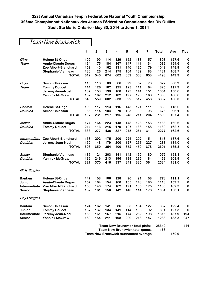## Team New Brunswick

|                      |                           | 1   | $\overline{\mathbf{c}}$ | 3   | 4                                       | 5   | 6   | 7   | <b>Total</b> | Avg   | Ties      |
|----------------------|---------------------------|-----|-------------------------|-----|-----------------------------------------|-----|-----|-----|--------------|-------|-----------|
| Girls                | <b>Helene St-Onge</b>     | 109 | 99                      | 114 | 129                                     | 152 | 133 | 157 | 893          | 127.6 | 0         |
| Team                 | <b>Annie-Claude Dugas</b> | 164 | 175                     | 184 | 167                                     | 147 | 111 | 134 | 1082         | 154.6 | 0         |
|                      | Zoe Albert-Blanchard      | 159 | 140                     | 162 | 131                                     | 146 | 125 | 179 | 1042         | 148.9 | $\pmb{0}$ |
|                      | <b>Stephanie Vienneau</b> | 180 | 126                     | 214 | 175                                     | 164 | 139 | 183 | 1181         | 168.7 | $\pmb{0}$ |
|                      | <b>TOTAL</b>              | 612 | 540                     | 674 | 602                                     | 609 | 508 | 653 | 4198         | 149.9 | 0         |
| <b>Boys</b>          | <b>Simon Chiasson</b>     | 115 | 113                     | 89  | 66                                      | 99  | 67  | 73  | 622          | 88.9  | 0         |
| Team                 | <b>Tommy Doucet</b>       | 114 | 126                     | 162 | 125                                     | 123 | 111 | 64  | 825          | 117.9 | 0         |
|                      | Jeremy Jean-Noel          | 137 | 153                     | 139 | 160                                     | 173 | 141 | 151 | 1054         | 150.6 | 0         |
|                      | <b>Yannick McGraw</b>     | 182 | 167                     | 212 | 182                                     | 197 | 198 | 168 | 1306         | 186.6 | 0         |
|                      | <b>TOTAL</b>              | 548 | 559                     | 602 | 533                                     | 592 | 517 | 456 | 3807         | 136.0 | 0         |
| <b>Bantam</b>        | <b>Helene St-Onge</b>     | 109 | 117                     | 113 | 116                                     | 143 | 121 | 111 | 830          | 118.6 | 0         |
| <b>Doubles</b>       | <b>Simon Chiasson</b>     | 88  | 114                     | 104 | 79                                      | 105 | 90  | 93  | 673          | 96.1  | 0         |
|                      | <b>TOTAL</b>              | 197 | 231                     | 217 | 195                                     | 248 | 211 | 204 | 1503         | 107.4 | 0         |
| Junior               | <b>Annie-Claude Dugas</b> | 174 | 164                     | 223 | 148                                     | 148 | 128 | 153 | 1138         | 162.6 | $\bf{0}$  |
| <b>Doubles</b>       | <b>Tommy Doucet</b>       | 214 | 113                     | 215 | 179                                     | 127 | 133 | 158 | 1139         | 162.7 | 0         |
|                      | <b>TOTAL</b>              | 388 | 277                     | 438 | 327                                     | 275 | 261 | 311 | 2277         | 162.6 | 0         |
| Intermediate         | Zoe Albert-Blanchard      | 158 | 202                     | 175 | 200                                     | 225 | 202 | 151 | 1313         | 187.6 | 0         |
| <b>Doubles</b>       | Jeremy Jean-Noel          | 150 | 148                     | 179 | 200                                     | 127 | 257 | 227 | 1288         | 184.0 | 0         |
|                      | <b>TOTAL</b>              | 308 | 350                     | 354 | 400                                     | 352 | 459 | 378 | 2601         | 185.8 | 0         |
| Senior               | <b>Stephanie Vienneau</b> | 135 | 121                     | 203 | 141                                     | 142 | 150 | 180 | 1072         | 153.1 | 0         |
| <b>Doubles</b>       | <b>Yannick McGraw</b>     | 186 | 249                     | 213 | 196                                     | 199 | 235 | 184 | 1462         | 208.9 | 0         |
|                      | <b>TOTAL</b>              | 321 | 370                     | 416 | 337                                     | 341 | 385 | 364 | 2534         | 181.0 | 0         |
| <b>Girls Singles</b> |                           |     |                         |     |                                         |     |     |     |              |       |           |
| <b>Bantam</b>        | <b>Helene St-Onge</b>     | 147 | 108                     | 106 | 128                                     | 90  | 91  | 108 | 778          | 111.1 | 0         |
| Junior               | <b>Annie-Claude Dugas</b> | 157 | 164                     | 154 | 160                                     | 155 | 148 | 180 | 1118         | 159.7 | 0         |
| Intermediate         | Zoe Albert-Blanchard      | 153 | 146                     | 174 | 162                                     | 191 | 135 | 175 | 1136         | 162.3 | $\pmb{0}$ |
| Senior               | Stephanie Vienneau        | 162 | 161                     | 156 | 142                                     | 140 | 114 | 176 | 1051         | 150.1 | $\bf{0}$  |
| <b>Boys Singles</b>  |                           |     |                         |     |                                         |     |     |     |              |       |           |
| <b>Bantam</b>        | <b>Simon Chiasson</b>     | 124 | 162                     | 141 | 86                                      | 83  | 134 | 127 | 857          | 122.4 | 0         |
| Junior               | <b>Tommy Doucet</b>       | 167 | 137                     | 134 | 141                                     | 114 | 106 | 92  | 891          | 127.3 | 0         |
| Intermediate         | Jeremy Jean-Noel          | 168 | 161                     | 167 | 215                                     | 174 | 232 | 198 | 1315         | 187.9 | 194       |
| <b>Senior</b>        | <b>Yannick McGraw</b>     | 160 | 154                     | 211 | 198                                     | 200 | 213 | 147 | 1283         | 183.3 | 247       |
|                      |                           |     |                         |     | <b>Team New Brunswick total pinfall</b> |     |     |     | 25349        |       | 441       |
|                      |                           |     |                         |     | <b>Team New Brunswick total games</b>   |     |     |     | 168          |       |           |
|                      |                           |     |                         |     | Team New Brunswick tournament average   |     |     |     |              | 150.9 |           |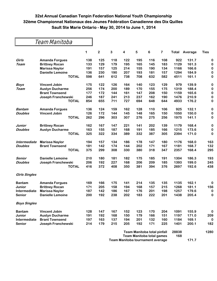|                      |                         | 1   | $\overline{2}$ | 3   | 4   | 5   | 6                           | 7   | Total | Average | <b>Ties</b> |
|----------------------|-------------------------|-----|----------------|-----|-----|-----|-----------------------------|-----|-------|---------|-------------|
| Girls                | <b>Amanda Forgues</b>   | 138 | 125            | 118 | 122 | 195 | 116                         | 108 | 922   | 131.7   | 0           |
| Team                 | <b>Brittney Rocan</b>   | 133 | 129            | 179 | 195 | 165 | 145                         | 183 | 1129  | 161.3   | 0           |
|                      | <b>Marissa Naylor</b>   | 191 | 157            | 125 | 214 | 155 | 190                         | 134 | 1166  | 166.6   | $\bf{0}$    |
|                      | <b>Danielle Lemoine</b> | 136 | 230            | 190 | 207 | 193 | 181                         | 157 | 1294  | 184.9   | 0           |
|                      | <b>TOTAL</b>            | 598 | 641            | 612 | 738 | 708 | 632                         | 582 | 4511  | 161.1   | 0           |
| <b>Boys</b>          | <b>Vincent Jobin</b>    | 175 | 122            | 126 | 164 | 140 | 123                         | 129 | 979   | 139.9   | $\bf{0}$    |
| Team                 | <b>Austyn Ducharme</b>  | 256 | 174            | 200 | 189 | 170 | 155                         | 175 | 1319  | 188.4   | $\bf{0}$    |
|                      | <b>Brant Townsend</b>   | 177 | 172            | 144 | 161 | 147 | 208                         | 150 | 1159  | 165.6   | $\bf{0}$    |
|                      | Joseph Franchewski      | 246 | 187            | 241 | 213 | 237 | 162                         | 190 | 1476  | 210.9   | $\bf{0}$    |
|                      | <b>TOTAL</b>            | 854 | 655            | 711 | 727 | 694 | 648                         | 644 | 4933  | 176.2   | $\bf{0}$    |
| <b>Bantam</b>        | <b>Amanda Forgues</b>   | 136 | 124            | 159 | 162 | 128 | 110                         | 106 | 925   | 132.1   | $\bf{0}$    |
| <b>Doubles</b>       | <b>Vincent Jobin</b>    | 126 | 172            | 144 | 145 | 148 | 165                         | 150 | 1050  | 150.0   | 0           |
|                      | <b>TOTAL</b>            | 262 | 296            | 303 | 307 | 276 | 275                         | 256 | 1975  | 141.1   | $\bf{0}$    |
| Junior               | <b>Brittney Rocan</b>   | 162 | 167            | 147 | 221 | 141 | 202                         | 139 | 1179  | 168.4   | $\bf{0}$    |
| <b>Doubles</b>       | <b>Austyn Ducharme</b>  | 163 | 155            | 187 | 168 | 191 | 185                         | 166 | 1215  | 173.6   | $\bf{0}$    |
|                      | <b>TOTAL</b>            | 325 | 322            | 334 | 389 | 332 | 387                         | 305 | 2394  | 171.0   | $\bf{0}$    |
| Intermediate         | <b>Marissa Naylor</b>   | 194 | 157            | 134 | 186 | 178 | 147                         | 180 | 1176  | 168.0   | 163         |
| <b>Doubles</b>       | <b>Brant Townsend</b>   | 181 | 142            | 174 | 144 | 202 | 171                         | 167 | 1181  | 168.7   | 132         |
|                      | <b>TOTAL</b>            | 375 | 299            | 308 | 330 | 380 | 318                         | 347 | 2357  | 168.4   | 295         |
| <b>Senior</b>        | <b>Danielle Lemoine</b> | 210 | 180            | 181 | 182 | 175 | 185                         | 191 | 1304  | 186.3   | 193         |
| <b>Doubles</b>       | Joseph Franchewski      | 206 | 192            | 227 | 168 | 206 | 209                         | 185 | 1393  | 199.0   | 245         |
|                      | <b>TOTAL</b>            | 416 | 372            | 408 | 350 | 381 | 394                         | 376 | 2697  | 192.6   | 438         |
| <b>Girls Singles</b> |                         |     |                |     |     |     |                             |     |       |         |             |
| <b>Bantam</b>        | <b>Amanda Forgues</b>   | 169 | 166            | 175 | 141 | 214 | 135                         | 135 | 1135  | 162.1   | $\bf{0}$    |
| <b>Junior</b>        | <b>Brittney Rocan</b>   | 171 | 205            | 158 | 194 | 168 | 157                         | 215 | 1268  | 181.1   | 156         |
| Intermediate         | <b>Marissa Naylor</b>   | 187 | 142            | 186 | 167 | 176 | 201                         | 198 | 1257  | 179.6   | $\bf{0}$    |
| Senior               | <b>Danielle Lemoine</b> | 200 | 192            | 238 | 202 | 183 | 222                         | 201 | 1438  | 205.4   | 0           |
| <b>Boys Singles</b>  |                         |     |                |     |     |     |                             |     |       |         |             |
| <b>Bantam</b>        | <b>Vincent Jobin</b>    | 128 | 147            | 167 | 152 | 123 | 170                         | 204 | 1091  | 155.9   | 0           |
| <b>Junior</b>        | <b>Austyn Ducharme</b>  | 191 | 192            | 168 | 150 | 179 | 166                         | 151 | 1197  | 171.0   | 209         |
| <b>Intermediate</b>  | <b>Brant Townsend</b>   | 197 | 163            | 137 | 194 | 201 | 132                         | 160 | 1184  | 169.1   | $\bf{0}$    |
| <b>Senior</b>        | Joseph Franchewski      | 214 | 179            | 215 | 205 | 192 | 171                         | 225 | 1401  | 200.1   | 182         |
|                      |                         |     |                |     |     |     | Toam Manitoha total ninfall |     | 28838 |         | 1280        |

| Team Manitoba total pinfall      | 28838 |       | 1280 |
|----------------------------------|-------|-------|------|
| Team Manitoba total games        | 168   |       |      |
| Team Manitoba tournament average |       | 171.7 |      |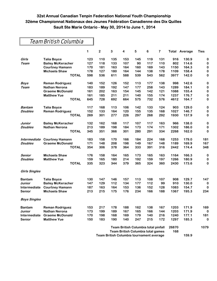### Team British Columbia

|                      |                          | 1   | $\mathbf{2}$ | 3   | 4   | 5   | 6                                        | $\overline{7}$ |       | <b>Total Average</b> | Ties     |
|----------------------|--------------------------|-----|--------------|-----|-----|-----|------------------------------------------|----------------|-------|----------------------|----------|
| Girls                | <b>Talia Boyce</b>       | 123 | 110          | 135 | 153 | 145 | 119                                      | 131            | 916   | 130.9                | 0        |
| <b>Team</b>          | <b>Bailey McKeracher</b> | 127 | 118          | 133 | 107 | 90  | 117                                      | 110            | 802   | 114.6                | $\bf{0}$ |
|                      | <b>Courtney Hamann</b>   | 170 | 181          | 163 | 164 | 160 | 169                                      | 143            | 1150  | 164.3                | $\bf{0}$ |
|                      | Michaela Shaw            | 178 | 127          | 180 | 164 | 144 | 138                                      | 178            | 1109  | 158.4                | $\bf{0}$ |
|                      | <b>TOTAL</b>             | 598 | 536          | 611 | 588 | 539 | 543                                      | 562            | 3977  | 142.0                | 0        |
| <b>Boys</b>          | <b>Reman Rodriguez</b>   | 140 | 152          | 126 | 152 | 113 | 177                                      | 138            | 998   | 142.6                | $\bf{0}$ |
| <b>Team</b>          | <b>Nathan Nerona</b>     | 183 | 189          | 192 | 147 | 177 | 258                                      | 143            | 1289  | 184.1                | $\bf{0}$ |
|                      | <b>Graeme McDonald</b>   | 161 | 202          | 163 | 154 | 145 | 142                                      | 121            | 1088  | 155.4                | $\bf{0}$ |
|                      | <b>Matthew Yue</b>       | 161 | 185          | 211 | 211 | 140 | 155                                      | 174            | 1237  | 176.7                | $\bf{0}$ |
|                      | <b>TOTAL</b>             | 645 | 728          | 692 | 664 | 575 | 732                                      | 576            | 4612  | 164.7                | $\bf{0}$ |
| <b>Bantam</b>        | <b>Talia Boyce</b>       | 117 | 168          | 113 | 106 | 142 | 133                                      | 124            | 903   | 129.0                | $\bf{0}$ |
| <b>Doubles</b>       | <b>Reman Rodriguez</b>   | 152 | 133          | 164 | 120 | 155 | 135                                      | 168            | 1027  | 146.7                | 0        |
|                      | <b>TOTAL</b>             | 269 | 301          | 277 | 226 | 297 | 268                                      | 292            | 1930  | 137.9                | $\bf{0}$ |
| Junior               | <b>Bailey McKeracher</b> | 132 | 162          | 168 | 117 | 107 | 117                                      | 163            | 966   | 138.0                | $\bf{0}$ |
| <b>Doubles</b>       | <b>Nathan Nerona</b>     | 213 | 189          | 198 | 184 | 173 | 174                                      | 171            | 1302  | 186.0                | $\bf{0}$ |
|                      | <b>TOTAL</b>             | 345 | 351          | 366 | 301 | 280 | 291                                      | 334            | 2268  | 162.0                | $\bf{0}$ |
| Intermediate         | <b>Courtney Hamann</b>   | 183 | 158          | 170 | 166 | 184 | 224                                      | 168            | 1253  | 179.0                | 181      |
| <b>Doubles</b>       | <b>Graeme McDonald</b>   | 171 | 148          | 208 | 198 | 149 | 167                                      | 148            | 1189  | 169.9                | 167      |
|                      | <b>TOTAL</b>             | 354 | 306          | 378 | 364 | 333 | 391                                      | 316            | 2442  | 174.4                | 348      |
| Senior               | <b>Michaela Shaw</b>     | 176 | 158          | 164 | 165 | 173 | 165                                      | 163            | 1164  | 166.3                | $\bf{0}$ |
| <b>Doubles</b>       | <b>Matthew Yue</b>       | 159 | 165          | 180 | 214 | 192 | 159                                      | 197            | 1266  | 180.9                | $\bf{0}$ |
|                      | <b>TOTAL</b>             | 335 | 323          | 344 | 379 | 365 | 324                                      | 360            | 2430  | 173.6                | $\bf{0}$ |
| <b>Girls Singles</b> |                          |     |              |     |     |     |                                          |                |       |                      |          |
| <b>Bantam</b>        | <b>Talia Boyce</b>       | 130 | 147          | 146 | 157 | 113 | 108                                      | 107            | 908   | 129.7                | 147      |
| Junior               | <b>Bailey McKeracher</b> | 147 | 129          | 112 | 134 | 177 | 112                                      | 99             | 910   | 130.0                | $\bf{0}$ |
| Intermediate         | <b>Courtney Hamann</b>   | 187 | 163          | 164 | 153 | 136 | 152                                      | 128            | 1083  | 154.7                | 0        |
| Senior               | Michaela Shaw            | 213 | 215          | 175 | 176 | 234 | 166                                      | 188            | 1367  | 195.3                | 234      |
| <b>Boys Singles</b>  |                          |     |              |     |     |     |                                          |                |       |                      |          |
| <b>Bantam</b>        | <b>Reman Rodriguez</b>   | 153 | 217          | 178 | 188 | 162 | 138                                      | 167            | 1203  | 171.9                | 169      |
| Junior               | <b>Nathan Nerona</b>     | 173 | 199          | 189 | 167 | 165 | 166                                      | 144            | 1203  | 171.9                | 0        |
| Intermediate         | <b>Graeme McDonald</b>   | 170 | 198          | 168 | 169 | 179 | 140                                      | 216            | 1240  | 177.1                | 181      |
| Senior               | <b>Matthew Yue</b>       | 150 | 183          | 190 | 140 | 247 | 215                                      | 172            | 1297  | 185.3                | $\bf{0}$ |
|                      |                          |     |              |     |     |     | Team British Columbia total pinfall      |                | 26870 |                      | 1079     |
|                      |                          |     |              |     |     |     | <b>Team British Columbia total games</b> |                | 168   |                      |          |

**Team British Columbia tournament average 159.9**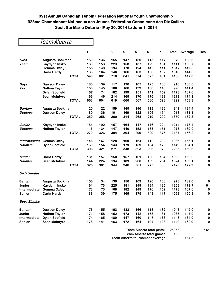|                      | Team Alberta          |     |                |     |                         |            |     |     |       |         |             |
|----------------------|-----------------------|-----|----------------|-----|-------------------------|------------|-----|-----|-------|---------|-------------|
|                      |                       | 1   | $\overline{2}$ | 3   | $\overline{\mathbf{4}}$ | $\sqrt{5}$ | 6   | 7   | Total | Average | <b>Ties</b> |
| Girls                | Augusta Bockman       | 150 | 136            | 155 | 147                     | 150        | 115 | 117 | 970   | 138.6   | 0           |
| Team                 | Kaytlynn Insko        | 160 | 153            | 223 | 158                     | 137        | 129 | 151 | 1111  | 158.7   | $\bf{0}$    |
|                      | <b>Gemma Oxley</b>    | 155 | 148            | 194 | 170                     | 124        | 145 | 111 | 1047  | 149.6   | $\mathbf 0$ |
|                      | <b>Carla Hardy</b>    | 133 | 164            | 146 | 166                     | 163        | 136 | 102 | 1010  | 144.3   | $\mathbf 0$ |
|                      | <b>TOTAL</b>          | 598 | 601            | 718 | 641                     | 574        | 525 | 481 | 4138  | 147.8   | $\mathbf 0$ |
| <b>Boys</b>          | <b>Dawson Daley</b>   | 180 | 139            | 117 | 136                     | 107        | 125 | 106 | 910   | 130.0   | 0           |
| Team                 | <b>Nathan Taylor</b>  | 150 | 145            | 106 | 166                     | 139        | 138 | 146 | 990   | 141.4   | $\bf{0}$    |
|                      | <b>Dylan Scofield</b> | 167 | 174            | 182 | 199                     | 151        | 141 | 159 | 1173  | 167.6   | $\mathbf 0$ |
|                      | <b>Sean McIntyre</b>  | 166 | 146            | 214 | 165                     | 170        | 176 | 182 | 1219  | 174.1   | $\bf{0}$    |
|                      | <b>TOTAL</b>          | 663 | 604            | 619 | 666                     | 567        | 580 | 593 | 4292  | 153.3   | $\mathbf 0$ |
| Bantam               | Augusta Bockman       | 120 | 122            | 159 | 145                     | 146        | 113 | 136 | 941   | 134.4   | $\mathbf 0$ |
| <b>Doubles</b>       | <b>Dawson Daley</b>   | 130 | 136            | 101 | 169                     | 122        | 106 | 154 | 918   | 131.1   | $\bf{0}$    |
|                      | <b>TOTAL</b>          | 250 | 258            | 260 | 314                     | 268        | 219 | 290 | 1859  | 132.8   | $\bf{0}$    |
| Junior               | <b>Kaytlynn Insko</b> | 154 | 192            | 157 | 164                     | 147        | 176 | 224 | 1214  | 173.4   | $\bf{0}$    |
| <b>Doubles</b>       | <b>Nathan Taylor</b>  | 116 | 134            | 147 | 140                     | 152        | 133 | 151 | 973   | 139.0   | 0           |
|                      | <b>TOTAL</b>          | 270 | 326            | 304 | 304                     | 299        | 309 | 375 | 2187  | 156.2   | $\bf{0}$    |
| Intermediate         | <b>Gemma Oxley</b>    | 146 | 167            | 128 | 169                     | 164        | 112 | 200 | 1086  | 155.1   | 0           |
| <b>Doubles</b>       | <b>Dylan Scofield</b> | 160 | 154            | 143 | 179                     | 159        | 184 | 170 | 1149  | 164.1   | $\bf{0}$    |
|                      | <b>TOTAL</b>          | 306 | 321            | 271 | 348                     | 323        | 296 | 370 | 2235  | 159.6   | $\bf{0}$    |
| Senior               | <b>Carla Hardy</b>    | 181 | 157            | 150 | 157                     | 161        | 106 | 184 | 1096  | 156.6   | $\bf{0}$    |
| <b>Doubles</b>       | <b>Sean McIntyre</b>  | 144 | 224            | 194 | 189                     | 200        | 169 | 204 | 1324  | 189.1   | $\bf{0}$    |
|                      | <b>TOTAL</b>          | 325 | 381            | 344 | 346                     | 361        | 275 | 388 | 2420  | 172.9   | $\bf{0}$    |
| <b>Girls Singles</b> |                       |     |                |     |                         |            |     |     |       |         |             |
| <b>Bantam</b>        | Augusta Bockman       | 156 | 134            | 130 | 156                     | 109        | 120 | 168 | 973   | 139.0   | 0           |
| <b>Junior</b>        | <b>Kaytlynn Insko</b> | 161 | 173            | 225 | 181                     | 149        | 184 | 185 | 1258  | 179.7   | 161         |
| Intermediate         | <b>Gemma Oxley</b>    | 173 | 173            | 168 | 182                     | 149        | 176 | 152 | 1173  | 167.6   | 0           |
| <b>Senior</b>        | <b>Carla Hardy</b>    | 138 | 139            | 175 | 165                     | 175        | 143 | 117 | 1052  | 150.3   | 0           |
| <b>Boys Singles</b>  |                       |     |                |     |                         |            |     |     |       |         |             |
| <b>Bantam</b>        | <b>Dawson Daley</b>   | 176 | 155            | 163 | 133                     | 166        | 118 | 132 | 1043  | 149.0   | $\bf{0}$    |
| Junior               | <b>Nathan Taylor</b>  | 171 | 158            | 152 | 173                     | 142        | 158 | 81  | 1035  | 147.9   | $\bf{0}$    |
| Intermediate         | <b>Dylan Scofield</b> | 174 | 165            | 189 | 147                     | 160        | 147 | 166 | 1148  | 164.0   | $\bf{0}$    |
| <b>Senior</b>        | <b>Sean McIntyre</b>  | 178 | 141            | 163 | 172                     | 164        | 194 | 128 | 1140  | 162.9   | $\bf{0}$    |

| Team Alberta total pinfall      | 25953 |       | 161 |
|---------------------------------|-------|-------|-----|
| Team Alberta total games        | 168   |       |     |
| Team Alberta tournament average |       | 154.5 |     |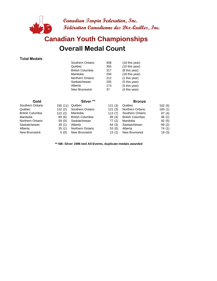

## **Overall Medal Count Canadian Youth Championships**

#### **Total Medals**

| Southern Ontario        | 408 | (18 this year) |
|-------------------------|-----|----------------|
| Québec                  | 355 | (10 this year) |
| <b>British Columbia</b> | 317 | (8 this year)  |
| Manitoba                | 294 | (18 this year) |
| Northern Ontario        | 212 | (1 this year)  |
| Saskatchewan            | 205 | (5 this year)  |
| Alberta                 | 173 | (5 this year)  |
| <b>New Brunswick</b>    | 37  | (4 this year)  |
|                         |     |                |

| Gold             |          | Silver **               |        | <b>Bronze</b>           |        |
|------------------|----------|-------------------------|--------|-------------------------|--------|
| Southern Ontario | 190 (11) | Québec                  | 121(3) | Québec                  | 102(5) |
| Québec           | 132(2)   | Southern Ontario        | 121(3) | <b>Northern Ontario</b> | 100(1) |
| British Columbia | 122(2)   | Manitoba                | 113(7) | Southern Ontario        | 97(4)  |
| Manitoba         | 89(6)    | <b>British Columbia</b> | 99(4)  | <b>British Columbia</b> | 96(2)  |
| Northern Ontario | 59(0)    | Saskatchewan            | 77(2)  | Manitoba                | 92(5)  |
| Saskatchewan     | 39(1)    | Alberta                 | 64(3)  | Saskatchewan            | 89(2)  |
| Alberta          | 35(1)    | Northern Ontario        | 53(0)  | Alberta                 | 74 (1) |
| New Brunswick    | 5(0)     | <b>New Brunswick</b>    | 13(1)  | <b>New Brunswick</b>    | 19(3)  |

**\*\* NB: Silver 1996 tied All-Events, duplicate medals awarded**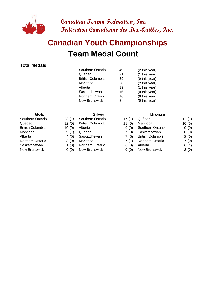

# **Team Medal Count Canadian Youth Championships**

#### **Total Medals**

| Southern Ontario        | 49 | (2 this year) |
|-------------------------|----|---------------|
| Québec                  | 31 | (1 this year) |
| <b>British Columbia</b> | 29 | (0 this year) |
| Manitoba                | 26 | (2 this year) |
| Alberta                 | 19 | (1 this year) |
| Saskatchewan            | 16 | (0 this year) |
| <b>Northern Ontario</b> | 16 | (0 this year) |
| New Brunswick           | 2  | (0 this year) |
|                         |    |               |

- Southern Ontario 23 (1) Southern Ontario
	-
	-
	-
	-
	-
- Saskatchewan 1 (0) Northern Ontario
- New Brunswick 0 (0) New Brunswick

#### **Gold Silver Silver Bronze**

| Southern Ontario        |      |                   | 12(1)                                                                                                                                    |
|-------------------------|------|-------------------|------------------------------------------------------------------------------------------------------------------------------------------|
| <b>British Columbia</b> |      |                   | 10(0)                                                                                                                                    |
| Alberta                 | 9(0) |                   | 9(0)                                                                                                                                     |
| Québec                  | 7(0) |                   | 8(0)                                                                                                                                     |
| Saskatchewan            | 7(0) |                   | 8(0)                                                                                                                                     |
| Manitoba                | 7(1) |                   | 7(0)                                                                                                                                     |
| <b>Northern Ontario</b> | 6(0) |                   | 6(1)                                                                                                                                     |
| New Brunswick           | 0(0) |                   | 2(0)                                                                                                                                     |
|                         |      | 17(1)<br>11 $(0)$ | Québec<br>Manitoba<br>Southern Ontario<br>Saskatchewan<br><b>British Columbia</b><br><b>Northern Ontario</b><br>Alberta<br>New Brunswick |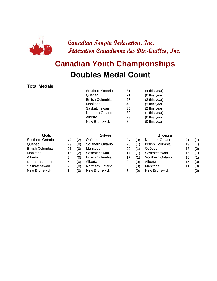

## **Doubles Medal Count Canadian Youth Championships**

#### **Total Medals**

| Southern Ontario        | 81 | (4 this year) |
|-------------------------|----|---------------|
| Québec                  | 71 | (0 this year) |
| <b>British Columbia</b> | 57 | (2 this year) |
| Manitoba                | 46 | (3 this year) |
| Saskatchewan            | 35 | (2 this year) |
| <b>Northern Ontario</b> | 32 | (1 this year) |
| Alberta                 | 29 | (0 this year) |
| <b>New Brunswick</b>    | 8  | (0 this year) |
|                         |    |               |

#### **Gold Silver Silver Bronze** Southern Ontario 42 (2) Québec 24 Québec 29 (0) Southern Ontario 23 British Columbia 21 (0) Manitoba 20 Manitoba 15 (2) Saskatchewan 17

| Southern Ontario        | 42 | (2  | Québec                  | 24 | (0) | Northern Ontario        | 21 | (1) |
|-------------------------|----|-----|-------------------------|----|-----|-------------------------|----|-----|
| Québec                  | 29 | (0) | Southern Ontario        | 23 | (1) | <b>British Columbia</b> | 19 | (1) |
| <b>British Columbia</b> | 21 | (0) | Manitoba                | 20 | (1) | Québec                  | 18 | (0) |
| Manitoba                | 15 | (2) | Saskatchewan            | 17 |     | Saskatchewan            | 16 | (1) |
| Alberta                 | 5  | (0) | <b>British Columbia</b> |    |     | Southern Ontario        | 16 | (1) |
| Northern Ontario        | 5  | (0) | Alberta                 | 9  | (0) | Alberta                 | 15 | (0) |
| Saskatchewan            |    | (0) | Northern Ontario        | 6  | (0) | Manitoba                |    | (0) |
| New Brunswick           |    | (0) | New Brunswick           |    | (0) | New Brunswick           |    | (0) |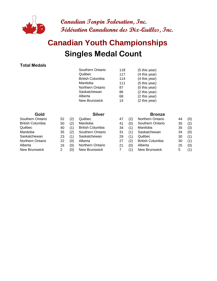

# **Singles Medal Count Canadian Youth Championships**

#### **Total Medals**

| Southern Ontario        | 118 | (5 this year) |
|-------------------------|-----|---------------|
| Québec                  | 117 | (4 this year) |
| <b>British Columbia</b> | 114 | (4 this year) |
| Manitoba                | 111 | (5 this year) |
| <b>Northern Ontario</b> | 87  | (0 this year) |
| Saskatchewan            | 86  | (2 this year) |
| Alberta                 | 68  | (2 this year) |
| <b>New Brunswick</b>    | 14  | (2 this year) |
|                         |     |               |

| Southern Ontario        | 52 | (2) | Québec                  | 4              |
|-------------------------|----|-----|-------------------------|----------------|
| <b>British Columbia</b> | 50 | (2) | Manitoba                | 4              |
| Québec                  | 40 | (1) | <b>British Columbia</b> | 3              |
| Manitoba                | 35 | (2) | Southern Ontario        | 3              |
| Saskatchewan            | 23 | (1) | Saskatchewan            | 2              |
| Northern Ontario        | 22 | (0) | Alberta                 | 2              |
| Alberta                 | 16 | (0) | Northern Ontario        | $\overline{2}$ |
| <b>New Brunswick</b>    | 2  | (0) | <b>New Brunswick</b>    | 7              |
|                         |    |     |                         |                |

#### **Gold Silver Silver Bronze**

| Southern Ontario | 52 | (2) | Québec                  | 47 |     | Northern Ontario        | 44 | (0) |
|------------------|----|-----|-------------------------|----|-----|-------------------------|----|-----|
| British Columbia | 50 | (2) | Manitoba                | 41 | (0) | Southern Ontario        | 35 | (2) |
| Québec           | 40 | (1) | <b>British Columbia</b> | 34 |     | Manitoba                | 35 | (3) |
| Manitoba         | 35 | (2) | Southern Ontario        | 31 |     | Saskatchewan            | 34 | (0) |
| Saskatchewan     | 23 | (1) | Saskatchewan            | 29 | (1) | Québec                  | 30 | (1) |
| Northern Ontario | 22 | (0) | Alberta                 | 27 | (2) | <b>British Columbia</b> | 30 | (1) |
| Alberta          | 16 | (0) | Northern Ontario        | 21 | (0) | Alberta                 | 25 | (0) |
| New Brunswick    |    | (0) | New Brunswick           |    |     | New Brunswick           | 5  | (1) |
|                  |    |     |                         |    |     |                         |    |     |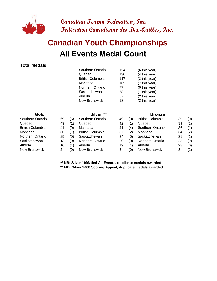

# **All Events Medal Count Canadian Youth Championships**

#### **Total Medals**

|                  |    |     | Southern Ontario        | 154 |     | (6 this year)           |    |     |
|------------------|----|-----|-------------------------|-----|-----|-------------------------|----|-----|
|                  |    |     | Québec                  | 130 |     | (4 this year)           |    |     |
|                  |    |     | <b>British Columbia</b> | 117 |     | (2 this year)           |    |     |
|                  |    |     | Manitoba                | 105 |     | (7 this year)           |    |     |
|                  |    |     | Northern Ontario        | 77  |     | (0 this year)           |    |     |
|                  |    |     | Saskatchewan            | 68  |     | (1 this year)           |    |     |
|                  |    |     | Alberta                 | 57  |     | (2 this year)           |    |     |
|                  |    |     | <b>New Brunswick</b>    | 13  |     | (2 this year)           |    |     |
| Gold             |    |     | Silver <sup>**</sup>    |     |     | <b>Bronze</b>           |    |     |
| Southern Ontario | 69 | (5) | Southern Ontario        | 49  | (0) | <b>British Columbia</b> | 39 | (0) |
| Québec           | 49 | (1) | Québec                  | 42  | (1) | Québec                  | 39 | (2) |
| British Columbia | 41 | (0) | Manitoba                | 41  | (4) | Southern Ontario        | 36 | (1) |
| Manitoba         | 30 | (1) | <b>British Columbia</b> | 37  | (2) | Manitoba                | 34 | (2) |
| Northern Ontario | 29 | (0) | Saskatchewan            | 24  | (0) | Saskatchewan            | 31 | (1) |
| Saskatchewan     | 13 | (0) | <b>Northern Ontario</b> | 20  | (0) | Northern Ontario        | 28 | (0) |
| Alberta          | 10 | (1) | Alberta                 | 19  | (1) | Alberta                 | 28 | (0) |
| New Brunswick    | 2  | (0) | New Brunswick           | 3   | (0) | New Brunswick           | 8  | (2) |

**\*\* NB: Silver 1996 tied All-Events, duplicate medals awarded**

**\*\* MB: Silver 2008 Scoring Appeal, duplicate medals awarded**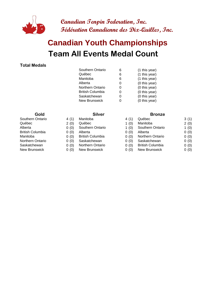

# **Team All Events Medal Count Canadian Youth Championships**

#### **Total Medals**

| Southern Ontario        | 6 | (1 this year) |
|-------------------------|---|---------------|
| Québec                  | 6 | (1 this year) |
| Manitoba                | 6 | (1 this year) |
| Alberta                 | O | (0 this year) |
| <b>Northern Ontario</b> | Ω | (0 this year) |
| <b>British Columbia</b> | O | (0 this year) |
| Saskatchewan            | O | (0 this year) |
| New Brunswick           |   | (0 this year) |
|                         |   |               |

- 
- 
- 
- 
- 
- 
- 

#### **Gold Silver Silver Bronze**

| Southern Ontario | 4 (1) | Manitoba                | 4 (1)   | Québec                  | 3(1) |
|------------------|-------|-------------------------|---------|-------------------------|------|
| Québec           | 2(0)  | Québec                  | 1 $(0)$ | Manitoba                | 2(0) |
| Alberta          | 0(0)  | Southern Ontario        | 1 $(0)$ | Southern Ontario        | 1(0) |
| British Columbia | 0(0)  | Alberta                 | 0(0)    | Alberta                 | 0(0) |
| Manitoba         | 0(0)  | <b>British Columbia</b> | 0(0)    | <b>Northern Ontario</b> | 0(0) |
| Northern Ontario | 0(0)  | Saskatchewan            | 0(0)    | Saskatchewan            | 0(0) |
| Saskatchewan     | 0(0)  | <b>Northern Ontario</b> | 0(0)    | <b>British Columbia</b> | 0(0) |
| New Brunswick    | 0(0)  | New Brunswick           | 0(0)    | New Brunswick           | 0(0) |
|                  |       |                         |         |                         |      |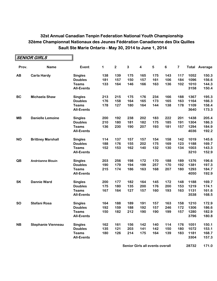|           | SENIOR GIRLS              |                   |     |                  |     |                         |     |                |     |      |                      |
|-----------|---------------------------|-------------------|-----|------------------|-----|-------------------------|-----|----------------|-----|------|----------------------|
| Prov.     | <b>Name</b>               | Event             | 1   | $\boldsymbol{2}$ | 3   | $\overline{\mathbf{4}}$ | 5   | $6\phantom{a}$ | 7   |      | <b>Total Average</b> |
| AB        | <b>Carla Hardy</b>        | <b>Singles</b>    | 138 | 139              | 175 | 165                     | 175 | 143            | 117 | 1052 | 150.3                |
|           |                           | <b>Doubles</b>    | 181 | 157              | 150 | 157                     | 161 | 106            | 184 | 1096 | 156.6                |
|           |                           | <b>Teams</b>      | 133 | 164              | 146 | 166                     | 163 | 136            | 102 | 1010 | 144.3                |
|           |                           | <b>All-Events</b> |     |                  |     |                         |     |                |     | 3158 | 150.4                |
| <b>BC</b> | <b>Michaela Shaw</b>      | <b>Singles</b>    | 213 | 215              | 175 | 176                     | 234 | 166            | 188 | 1367 | 195.3                |
|           |                           | <b>Doubles</b>    | 176 | 158              | 164 | 165                     | 173 | 165            | 163 | 1164 | 166.3                |
|           |                           | <b>Teams</b>      | 178 | 127              | 180 | 164                     | 144 | 138            | 178 | 1109 | 158.4                |
|           |                           | <b>All-Events</b> |     |                  |     |                         |     |                |     | 3640 | 173.3                |
| <b>MB</b> | <b>Danielle Lemoine</b>   | <b>Singles</b>    | 200 | 192              | 238 | 202                     | 183 | 222            | 201 | 1438 | 205.4                |
|           |                           | <b>Doubles</b>    | 210 | 180              | 181 | 182                     | 175 | 185            | 191 | 1304 | 186.3                |
|           |                           | <b>Teams</b>      | 136 | 230              | 190 | 207                     | 193 | 181            | 157 | 1294 | 184.9                |
|           |                           | <b>All-Events</b> |     |                  |     |                         |     |                |     | 4036 | 192.2                |
| <b>NO</b> | <b>Brittney Marshall</b>  | <b>Singles</b>    | 114 | 137              | 157 | 157                     | 154 | 158            | 142 | 1019 | 145.6                |
|           |                           | <b>Doubles</b>    | 188 | 176              | 155 | 202                     | 175 | 169            | 123 | 1188 | 169.7                |
|           |                           | <b>Teams</b>      | 152 | 153              | 162 | 140                     | 132 | 130            | 134 | 1003 | 143.3                |
|           |                           | <b>All-Events</b> |     |                  |     |                         |     |                |     | 3210 | 152.9                |
| QB        | <b>Andréanne Blouin</b>   | <b>Singles</b>    | 203 | 256              | 198 | 172                     | 170 | 188            | 189 | 1376 | 196.6                |
|           |                           | <b>Doubles</b>    | 190 | 179              | 194 | 199                     | 257 | 170            | 192 | 1381 | 197.3                |
|           |                           | <b>Teams</b>      | 215 | 174              | 186 | 163                     | 168 | 207            | 180 | 1293 | 184.7                |
|           |                           | <b>All-Events</b> |     |                  |     |                         |     |                |     | 4050 | 192.9                |
| <b>SK</b> | <b>Dannie Ward</b>        | <b>Singles</b>    | 200 | 177              | 182 | 164                     | 145 | 172            | 148 | 1188 | 169.7                |
|           |                           | <b>Doubles</b>    | 175 | 180              | 135 | 200                     | 176 | 200            | 153 | 1219 | 174.1                |
|           |                           | <b>Teams</b>      | 167 | 164              | 127 | 157                     | 160 | 193            | 163 | 1131 | 161.6                |
|           |                           | <b>All-Events</b> |     |                  |     |                         |     |                |     | 3538 | 168.5                |
| <b>SO</b> | <b>Stefani Rosa</b>       | <b>Singles</b>    | 164 | 188              | 189 | 191                     | 157 | 163            | 158 | 1210 | 172.9                |
|           |                           | <b>Doubles</b>    | 192 | 159              | 188 | 192                     | 157 | 246            | 172 | 1306 | 186.6                |
|           |                           | <b>Teams</b>      | 150 | 182              | 212 | 190                     | 190 | 199            | 157 | 1280 | 182.9                |
|           |                           | <b>All-Events</b> |     |                  |     |                         |     |                |     | 3796 | 180.8                |
| <b>NB</b> | <b>Stephanie Vienneau</b> | <b>Singles</b>    | 162 | 161              | 156 | 142                     | 140 | 114            | 176 | 1051 | 150.1                |
|           |                           | <b>Doubles</b>    | 135 | 121              | 203 | 141                     | 142 | 150            | 180 | 1072 | 153.1                |
|           |                           | <b>Teams</b>      | 180 | 126              | 214 | 175                     | 164 | 139            | 183 | 1181 | 168.7                |
|           |                           | <b>All-Events</b> |     |                  |     |                         |     |                |     | 3304 | 157.3                |

**Senior Girls all events overall <b>1688** 28732 171.0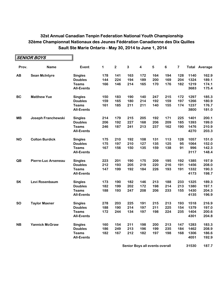|           | <b>SENIOR BOYS</b>    |                   |     |             |     |                         |     |     |     |      |                      |
|-----------|-----------------------|-------------------|-----|-------------|-----|-------------------------|-----|-----|-----|------|----------------------|
| Prov.     | <b>Name</b>           | Event             | 1   | $\mathbf 2$ | 3   | $\overline{\mathbf{4}}$ | 5   | 6   | 7   |      | <b>Total Average</b> |
| AB        | <b>Sean McIntyre</b>  | <b>Singles</b>    | 178 | 141         | 163 | 172                     | 164 | 194 | 128 | 1140 | 162.9                |
|           |                       | <b>Doubles</b>    | 144 | 224         | 194 | 189                     | 200 | 169 | 204 | 1324 | 189.1                |
|           |                       | <b>Teams</b>      | 166 | 146         | 214 | 165                     | 170 | 176 | 182 | 1219 | 174.1                |
|           |                       | <b>All-Events</b> |     |             |     |                         |     |     |     | 3683 | 175.4                |
| <b>BC</b> | <b>Matthew Yue</b>    | <b>Singles</b>    | 150 | 183         | 190 | 140                     | 247 | 215 | 172 | 1297 | 185.3                |
|           |                       | <b>Doubles</b>    | 159 | 165         | 180 | 214                     | 192 | 159 | 197 | 1266 | 180.9                |
|           |                       | <b>Teams</b>      | 161 | 185         | 211 | 211                     | 140 | 155 | 174 | 1237 | 176.7                |
|           |                       | <b>All-Events</b> |     |             |     |                         |     |     |     | 3800 | 181.0                |
| <b>MB</b> | Joseph Franchewski    | <b>Singles</b>    | 214 | 179         | 215 | 205                     | 192 | 171 | 225 | 1401 | 200.1                |
|           |                       | <b>Doubles</b>    | 206 | 192         | 227 | 168                     | 206 | 209 | 185 | 1393 | 199.0                |
|           |                       | <b>Teams</b>      | 246 | 187         | 241 | 213                     | 237 | 162 | 190 | 1476 | 210.9                |
|           |                       | <b>All-Events</b> |     |             |     |                         |     |     |     | 4270 | 203.3                |
| <b>NO</b> | <b>Colton Burdick</b> | <b>Singles</b>    | 175 | 210         | 192 | 108                     | 131 | 113 | 128 | 1057 | 151.0                |
|           |                       | <b>Doubles</b>    | 175 | 197         | 210 | 127                     | 135 | 125 | 95  | 1064 | 152.0                |
|           |                       | <b>Teams</b>      | 167 | 156         | 150 | 135                     | 159 | 138 | 91  | 996  | 142.3                |
|           |                       | <b>All-Events</b> |     |             |     |                         |     |     |     | 3117 | 148.4                |
| QB        | Pierre-Luc Arseneau   | <b>Singles</b>    | 223 | 201         | 190 | 175                     | 209 | 195 | 192 | 1385 | 197.9                |
|           |                       | <b>Doubles</b>    | 212 | 193         | 205 | 219                     | 220 | 216 | 191 | 1456 | 208.0                |
|           |                       | <b>Teams</b>      | 147 | 199         | 192 | 184                     | 226 | 193 | 191 | 1332 | 190.3                |
|           |                       | <b>All-Events</b> |     |             |     |                         |     |     |     | 4173 | 198.7                |
| <b>SK</b> | Levi Rosenbaum        | <b>Singles</b>    | 173 | 190         | 182 | 146                     | 213 | 188 | 233 | 1325 | 189.3                |
|           |                       | <b>Doubles</b>    | 182 | 199         | 202 | 172                     | 198 | 214 | 213 | 1380 | 197.1                |
|           |                       | <b>Teams</b>      | 188 | 193         | 247 | 208                     | 206 | 233 | 155 | 1430 | 204.3                |
|           |                       | <b>All-Events</b> |     |             |     |                         |     |     |     | 4135 | 196.9                |
| <b>SO</b> | <b>Taylor Maxner</b>  | <b>Singles</b>    | 278 | 203         | 225 | 191                     | 215 | 213 | 193 | 1518 | 216.9                |
|           |                       | <b>Doubles</b>    | 188 | 190         | 214 | 197                     | 211 | 225 | 154 | 1379 | 197.0                |
|           |                       | <b>Teams</b>      | 172 | 244         | 134 | 197                     | 198 | 224 | 235 | 1404 | 200.6                |
|           |                       | <b>All-Events</b> |     |             |     |                         |     |     |     | 4301 | 204.8                |
| <b>NB</b> | <b>Yannick McGraw</b> | <b>Singles</b>    | 160 | 154         | 211 | 198                     | 200 | 213 | 147 | 1283 | 183.3                |
|           |                       | <b>Doubles</b>    | 186 | 249         | 213 | 196                     | 199 | 235 | 184 | 1462 | 208.9                |
|           |                       | <b>Teams</b>      | 182 | 167         | 212 | 182                     | 197 | 198 | 168 | 1306 | 186.6                |
|           |                       | <b>All-Events</b> |     |             |     |                         |     |     |     | 4051 | 192.9                |

**Senior Boys all events overall <b>168 167.7**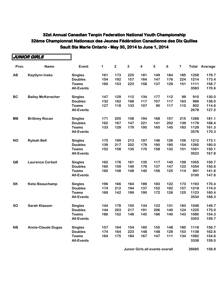|           | JUNIOR GIRLS              |                   |     |                         |     |                         |     |         |                         |      |                      |
|-----------|---------------------------|-------------------|-----|-------------------------|-----|-------------------------|-----|---------|-------------------------|------|----------------------|
| Prov.     | <b>Name</b>               | Event             | 1   | $\overline{\mathbf{2}}$ | 3   | $\overline{\mathbf{4}}$ | 5   | $\bf 6$ | $\overline{\mathbf{7}}$ |      | <b>Total Average</b> |
| AB        | Kaytlynn Insko            | <b>Singles</b>    | 161 | 173                     | 225 | 181                     | 149 | 184     | 185                     | 1258 | 179.7                |
|           |                           | <b>Doubles</b>    | 154 | 192                     | 157 | 164                     | 147 | 176     | 224                     | 1214 | 173.4                |
|           |                           | <b>Teams</b>      | 160 | 153                     | 223 | 158                     | 137 | 129     | 151                     | 1111 | 158.7                |
|           |                           | <b>All-Events</b> |     |                         |     |                         |     |         |                         | 3583 | 170.6                |
| <b>BC</b> | <b>Bailey McKeracher</b>  | <b>Singles</b>    | 147 | 129                     | 112 | 134                     | 177 | 112     | 99                      | 910  | 130.0                |
|           |                           | <b>Doubles</b>    | 132 | 162                     | 168 | 117                     | 107 | 117     | 163                     | 966  | 138.0                |
|           |                           | <b>Teams</b>      | 127 | 118                     | 133 | 107                     | 90  | 117     | 110                     | 802  | 114.6                |
|           |                           | <b>All-Events</b> |     |                         |     |                         |     |         |                         | 2678 | 127.5                |
| <b>MB</b> | <b>Brittney Rocan</b>     | <b>Singles</b>    | 171 | 205                     | 158 | 194                     | 168 | 157     | 215                     | 1268 | 181.1                |
|           |                           | <b>Doubles</b>    | 162 | 167                     | 147 | 221                     | 141 | 202     | 139                     | 1179 | 168.4                |
|           |                           | <b>Teams</b>      | 133 | 129                     | 179 | 195                     | 165 | 145     | 183                     | 1129 | 161.3                |
|           |                           | <b>All-Events</b> |     |                         |     |                         |     |         |                         | 3576 | 170.3                |
| <b>NO</b> | <b>Ryleah Bell</b>        | <b>Singles</b>    | 175 | 199                     | 213 | 197                     | 146 | 126     | 156                     | 1212 | 173.1                |
|           |                           | <b>Doubles</b>    | 139 | 217                     | 202 | 178                     | 190 | 180     | 154                     | 1260 | 180.0                |
|           |                           | <b>Teams</b>      | 152 | 158                     | 130 | 170                     | 158 | 132     | 151                     | 1051 | 150.1                |
|           |                           | <b>All-Events</b> |     |                         |     |                         |     |         |                         | 3523 | 167.8                |
| QB        | <b>Laurence Corbeil</b>   | <b>Singles</b>    | 162 | 176                     | 161 | 135                     | 117 | 145     | 159                     | 1055 | 150.7                |
|           |                           | <b>Doubles</b>    | 160 | 159                     | 149 | 179                     | 137 | 147     | 123                     | 1054 | 150.6                |
|           |                           | <b>Teams</b>      | 160 | 148                     | 148 | 140                     | 156 | 125     | 114                     | 991  | 141.6                |
|           |                           | <b>All-Events</b> |     |                         |     |                         |     |         |                         | 3100 | 147.6                |
| <b>SK</b> | Kelsi Beauchamp           | <b>Singles</b>    | 196 | 166                     | 164 | 189                     | 183 | 122     | 173                     | 1193 | 170.4                |
|           |                           | <b>Doubles</b>    | 174 | 212                     | 194 | 137                     | 152 | 192     | 157                     | 1218 | 174.0                |
|           |                           | <b>Teams</b>      | 169 | 142                     | 199 | 190                     | 172 | 126     | 125                     | 1123 | 160.4                |
|           |                           | <b>All-Events</b> |     |                         |     |                         |     |         |                         | 3534 | 168.3                |
| <b>SO</b> | <b>Sarah Klassen</b>      | <b>Singles</b>    | 144 | 178                     | 155 | 134                     | 123 | 131     | 183                     | 1048 | 149.7                |
|           |                           | <b>Doubles</b>    | 144 | 203                     | 217 | 191                     | 206 | 140     | 124                     | 1225 | 175.0                |
|           |                           | <b>Teams</b>      | 186 | 152                     | 148 | 145                     | 166 | 140     | 143                     | 1080 | 154.3                |
|           |                           | <b>All-Events</b> |     |                         |     |                         |     |         |                         | 3353 | 159.7                |
| <b>NB</b> | <b>Annie-Claude Dugas</b> | <b>Singles</b>    | 157 | 164                     | 154 | 160                     | 155 | 148     | 180                     | 1118 | 159.7                |
|           |                           | <b>Doubles</b>    | 174 | 164                     | 223 | 148                     | 148 | 128     | 153                     | 1138 | 162.6                |
|           |                           | <b>Teams</b>      | 164 | 175                     | 184 | 167                     | 147 | 111     | 134                     | 1082 | 154.6                |
|           |                           | <b>All-Events</b> |     |                         |     |                         |     |         |                         | 3338 | 159.0                |

**Junior Girls all events overall 168 26685 158.8**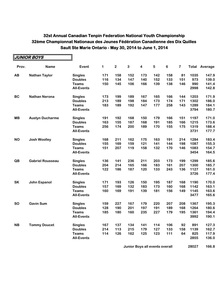|           | <b>JUNIOR BOYS</b>      |                   |     |              |              |                         |           |         |                         |       |         |
|-----------|-------------------------|-------------------|-----|--------------|--------------|-------------------------|-----------|---------|-------------------------|-------|---------|
| Prov.     | <b>Name</b>             | Event             | 1   | $\mathbf{2}$ | $\mathbf{3}$ | $\overline{\mathbf{4}}$ | ${\bf 5}$ | $\bf 6$ | $\overline{\mathbf{7}}$ | Total | Average |
| AB        | <b>Nathan Taylor</b>    | <b>Singles</b>    | 171 | 158          | 152          | 173                     | 142       | 158     | 81                      | 1035  | 147.9   |
|           |                         | <b>Doubles</b>    | 116 | 134          | 147          | 140                     | 152       | 133     | 151                     | 973   | 139.0   |
|           |                         | <b>Teams</b>      | 150 | 145          | 106          | 166                     | 139       | 138     | 146                     | 990   | 141.4   |
|           |                         | <b>All-Events</b> |     |              |              |                         |           |         |                         | 2998  | 142.8   |
| <b>BC</b> | <b>Nathan Nerona</b>    | <b>Singles</b>    | 173 | 199          | 189          | 167                     | 165       | 166     | 144                     | 1203  | 171.9   |
|           |                         | <b>Doubles</b>    | 213 | 189          | 198          | 184                     | 173       | 174     | 171                     | 1302  | 186.0   |
|           |                         | <b>Teams</b>      | 183 | 189          | 192          | 147                     | 177       | 258     | 143                     | 1289  | 184.1   |
|           |                         | <b>All-Events</b> |     |              |              |                         |           |         |                         | 3794  | 180.7   |
| <b>MB</b> | <b>Austyn Ducharme</b>  | <b>Singles</b>    | 191 | 192          | 168          | 150                     | 179       | 166     | 151                     | 1197  | 171.0   |
|           |                         | <b>Doubles</b>    | 163 | 155          | 187          | 168                     | 191       | 185     | 166                     | 1215  | 173.6   |
|           |                         | <b>Teams</b>      | 256 | 174          | 200          | 189                     | 170       | 155     | 175                     | 1319  | 188.4   |
|           |                         | <b>All-Events</b> |     |              |              |                         |           |         |                         | 3731  | 177.7   |
| <b>NO</b> | <b>Josh Woolley</b>     | <b>Singles</b>    | 168 | 211          | 162          | 175                     | 163       | 191     | 214                     | 1284  | 183.4   |
|           |                         | <b>Doubles</b>    | 155 | 169          | 159          | 121                     | 141       | 144     | 198                     | 1087  | 155.3   |
|           |                         | <b>Teams</b>      | 151 | 207          | 119          | 158                     | 132       | 170     | 146                     | 1083  | 154.7   |
|           |                         | <b>All-Events</b> |     |              |              |                         |           |         |                         | 3454  | 164.5   |
| QB        | <b>Gabriel Rousseau</b> | <b>Singles</b>    | 136 | 141          | 236          | 211                     | 203       | 173     | 199                     | 1299  | 185.6   |
|           |                         | <b>Doubles</b>    | 204 | 214          | 165          | 166                     | 183       | 161     | 207                     | 1300  | 185.7   |
|           |                         | <b>Teams</b>      | 122 | 186          | 187          | 120                     | 133       | 243     | 136                     | 1127  | 161.0   |
|           |                         | <b>All-Events</b> |     |              |              |                         |           |         |                         | 3726  | 177.4   |
| <b>SK</b> | John Espanol            | <b>Singles</b>    | 171 | 193          | 126          | 150                     | 195       | 187     | 168                     | 1190  | 170.0   |
|           |                         | <b>Doubles</b>    | 157 | 169          | 132          | 183                     | 173       | 160     | 168                     | 1142  | 163.1   |
|           |                         | <b>Teams</b>      | 160 | 169          | 191          | 139                     | 181       | 156     | 149                     | 1145  | 163.6   |
|           |                         | <b>All-Events</b> |     |              |              |                         |           |         |                         | 3477  | 165.6   |
| <b>SO</b> | <b>Gavin Sum</b>        | <b>Singles</b>    | 159 | 227          | 167          | 179                     | 220       | 207     | 208                     | 1367  | 195.3   |
|           |                         | <b>Doubles</b>    | 128 | 190          | 201          | 197                     | 191       | 189     | 168                     | 1264  | 180.6   |
|           |                         | <b>Teams</b>      | 185 | 180          | 160          | 235                     | 227       | 179     | 195                     | 1361  | 194.4   |
|           |                         | <b>All-Events</b> |     |              |              |                         |           |         |                         | 3992  | 190.1   |
| <b>NB</b> | <b>Tommy Doucet</b>     | <b>Singles</b>    | 167 | 137          | 134          | 141                     | 114       | 106     | 92                      | 891   | 127.3   |
|           |                         | <b>Doubles</b>    | 214 | 113          | 215          | 179                     | 127       | 133     | 158                     | 1139  | 162.7   |
|           |                         | <b>Teams</b>      | 114 | 126          | 162          | 125                     | 123       | 111     | 64                      | 825   | 117.9   |
|           |                         | <b>All-Events</b> |     |              |              |                         |           |         |                         | 2855  | 136.0   |

**Junior Boys all events overall 168 28027 166.8**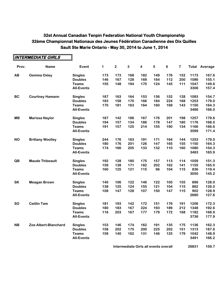|           | <b>INTERMEDIATE GIRLS</b> |                   |     |                         |     |                         |     |         |                         |      |                      |
|-----------|---------------------------|-------------------|-----|-------------------------|-----|-------------------------|-----|---------|-------------------------|------|----------------------|
| Prov.     | <b>Name</b>               | Event             | 1   | $\overline{\mathbf{2}}$ | 3   | $\overline{\mathbf{4}}$ | 5   | $\bf 6$ | $\overline{\mathbf{7}}$ |      | <b>Total Average</b> |
| AB        | <b>Gemma Oxley</b>        | <b>Singles</b>    | 173 | 173                     | 168 | 182                     | 149 | 176     | 152                     | 1173 | 167.6                |
|           |                           | <b>Doubles</b>    | 146 | 167                     | 128 | 169                     | 164 | 112     | 200                     | 1086 | 155.1                |
|           |                           | <b>Teams</b>      | 155 | 148                     | 194 | 170                     | 124 | 145     | 111                     | 1047 | 149.6                |
|           |                           | <b>All-Events</b> |     |                         |     |                         |     |         |                         | 3306 | 157.4                |
| <b>BC</b> | <b>Courtney Hamann</b>    | <b>Singles</b>    | 187 | 163                     | 164 | 153                     | 136 | 152     | 128                     | 1083 | 154.7                |
|           |                           | <b>Doubles</b>    | 183 | 158                     | 170 | 166                     | 184 | 224     | 168                     | 1253 | 179.0                |
|           |                           | <b>Teams</b>      | 170 | 181                     | 163 | 164                     | 160 | 169     | 143                     | 1150 | 164.3                |
|           |                           | <b>All-Events</b> |     |                         |     |                         |     |         |                         | 3486 | 166.0                |
| <b>MB</b> | <b>Marissa Naylor</b>     | <b>Singles</b>    | 187 | 142                     | 186 | 167                     | 176 | 201     | 198                     | 1257 | 179.6                |
|           |                           | <b>Doubles</b>    | 194 | 157                     | 134 | 186                     | 178 | 147     | 180                     | 1176 | 168.0                |
|           |                           | <b>Teams</b>      | 191 | 157                     | 125 | 214                     | 155 | 190     | 134                     | 1166 | 166.6                |
|           |                           | <b>All-Events</b> |     |                         |     |                         |     |         |                         | 3599 | 171.4                |
| <b>NO</b> | <b>Brittany Woolley</b>   | <b>Singles</b>    | 244 | 176                     | 163 | 191                     | 171 | 164     | 144                     | 1253 | 179.0                |
|           |                           | <b>Doubles</b>    | 180 | 176                     | 201 | 126                     | 147 | 165     | 155                     | 1150 | 164.3                |
|           |                           | <b>Teams</b>      | 174 | 166                     | 205 | 133                     | 132 | 110     | 160                     | 1080 | 154.3                |
|           |                           | <b>All-Events</b> |     |                         |     |                         |     |         |                         | 3483 | 165.9                |
| QB        | <b>Maude Thibeault</b>    | <b>Singles</b>    | 192 | 128                     | 180 | 175                     | 157 | 113     | 114                     | 1059 | 151.3                |
|           |                           | <b>Doubles</b>    | 159 | 138                     | 171 | 182                     | 202 | 162     | 141                     | 1155 | 165.0                |
|           |                           | <b>Teams</b>      | 160 | 125                     | 121 | 115                     | 96  | 104     | 115                     | 836  | 119.4                |
|           |                           | <b>All-Events</b> |     |                         |     |                         |     |         |                         | 3050 | 145.2                |
| <b>SK</b> | <b>Meagan Brown</b>       | <b>Singles</b>    | 140 | 106                     | 122 | 146                     | 122 | 105     | 155                     | 896  | 128.0                |
|           |                           | <b>Doubles</b>    | 138 | 125                     | 124 | 155                     | 121 | 104     | 115                     | 882  | 126.0                |
|           |                           | <b>Teams</b>      | 108 | 147                     | 128 | 107                     | 150 | 147     | 115                     | 902  | 128.9                |
|           |                           | <b>All-Events</b> |     |                         |     |                         |     |         |                         | 2680 | 127.6                |
| <b>SO</b> | <b>Caitlin Tam</b>        | <b>Singles</b>    | 181 | 193                     | 142 | 172                     | 151 | 176     | 191                     | 1206 | 172.3                |
|           |                           | <b>Doubles</b>    | 180 | 183                     | 167 | 224                     | 193 | 189     | 212                     | 1348 | 192.6                |
|           |                           | <b>Teams</b>      | 116 | 203                     | 167 | 177                     | 179 | 172     | 168                     | 1182 | 168.9                |
|           |                           | <b>All-Events</b> |     |                         |     |                         |     |         |                         | 3736 | 177.9                |
| <b>NB</b> | Zoe Albert-Blanchard      | <b>Singles</b>    | 153 | 146                     | 174 | 162                     | 191 | 135     | 175                     | 1136 | 162.3                |
|           |                           | <b>Doubles</b>    | 158 | 202                     | 175 | 200                     | 225 | 202     | 151                     | 1313 | 187.6                |
|           |                           | <b>Teams</b>      | 159 | 140                     | 162 | 131                     | 146 | 125     | 179                     | 1042 | 148.9                |
|           |                           | <b>All-Events</b> |     |                         |     |                         |     |         |                         | 3491 | 166.2                |

**Intermediate Girls all events overall 168 26831 159.7**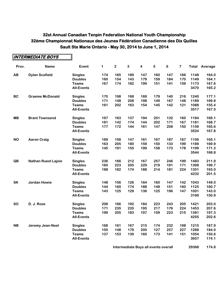**INTERMEDIATE BOYS**

 $\blacksquare$ 

|           | IN I EKMEVIA I E BUTS      |                   |     |             |              |                         |     |         |                         |              |         |
|-----------|----------------------------|-------------------|-----|-------------|--------------|-------------------------|-----|---------|-------------------------|--------------|---------|
| Prov.     | <b>Name</b>                | Event             | 1   | $\mathbf 2$ | $\mathbf{3}$ | $\overline{\mathbf{4}}$ | 5   | $\bf 6$ | $\overline{\mathbf{7}}$ | <b>Total</b> | Average |
| AB        | <b>Dylan Scofield</b>      | <b>Singles</b>    | 174 | 165         | 189          | 147                     | 160 | 147     | 166                     | 1148         | 164.0   |
|           |                            | <b>Doubles</b>    | 160 | 154         | 143          | 179                     | 159 | 184     | 170                     | 1149         | 164.1   |
|           |                            | <b>Teams</b>      | 167 | 174         | 182          | 199                     | 151 | 141     | 159                     | 1173         | 167.6   |
|           |                            | <b>All-Events</b> |     |             |              |                         |     |         |                         | 3470         | 165.2   |
| <b>BC</b> | <b>Graeme McDonald</b>     | <b>Singles</b>    | 170 | 198         | 168          | 169                     | 179 | 140     | 216                     | 1240         | 177.1   |
|           |                            | <b>Doubles</b>    | 171 | 148         | 208          | 198                     | 149 | 167     | 148                     | 1189         | 169.9   |
|           |                            | <b>Teams</b>      | 161 | 202         | 163          | 154                     | 145 | 142     | 121                     | 1088         | 155.4   |
|           |                            | <b>All-Events</b> |     |             |              |                         |     |         |                         | 3517         | 167.5   |
| <b>MB</b> | <b>Brant Townsend</b>      | <b>Singles</b>    | 197 | 163         | 137          | 194                     | 201 | 132     | 160                     | 1184         | 169.1   |
|           |                            | <b>Doubles</b>    | 181 | 142         | 174          | 144                     | 202 | 171     | 167                     | 1181         | 168.7   |
|           |                            | <b>Teams</b>      | 177 | 172         | 144          | 161                     | 147 | 208     | 150                     | 1159         | 165.6   |
|           |                            | <b>All-Events</b> |     |             |              |                         |     |         |                         | 3524         | 167.8   |
| <b>NO</b> | <b>Aaron Craig</b>         | <b>Singles</b>    | 169 | 158         | 147          | 161                     | 167 | 187     | 167                     | 1156         | 165.1   |
|           |                            | <b>Doubles</b>    | 163 | 205         | 180          | 159                     | 150 | 133     | 199                     | 1189         | 169.9   |
|           |                            | <b>Teams</b>      | 145 | 191         | 155          | 199                     | 158 | 173     | 178                     | 1199         | 171.3   |
|           |                            | <b>All-Events</b> |     |             |              |                         |     |         |                         | 3544         | 168.8   |
| QB        | <b>Nathan Ruest Lajoie</b> | <b>Singles</b>    | 236 | 166         | 212          | 167                     | 257 | 246     | 199                     | 1483         | 211.9   |
|           |                            | <b>Doubles</b>    | 160 | 223         | 205          | 229                     | 219 | 191     | 171                     | 1398         | 199.7   |
|           |                            | <b>Teams</b>      | 188 | 182         | 174          | 188                     | 214 | 181     | 224                     | 1351         | 193.0   |
|           |                            | <b>All-Events</b> |     |             |              |                         |     |         |                         | 4232         | 201.5   |
| <b>SK</b> | <b>Jordan Howie</b>        | <b>Singles</b>    | 148 | 156         | 126          | 164                     | 160 | 147     | 142                     | 1043         | 149.0   |
|           |                            | <b>Doubles</b>    | 144 | 160         | 174          | 188                     | 148 | 151     | 160                     | 1125         | 160.7   |
|           |                            | <b>Teams</b>      | 143 | 125         | 129          | 136                     | 125 | 196     | 147                     | 1001         | 143.0   |
|           |                            | <b>All-Events</b> |     |             |              |                         |     |         |                         | 3169         | 150.9   |
| <b>SO</b> | D. J. Rose                 | <b>Singles</b>    | 208 | 166         | 192          | 184                     | 223 | 243     | 205                     | 1421         | 203.0   |
|           |                            | <b>Doubles</b>    | 171 | 235         | 235          | 195                     | 217 | 176     | 224                     | 1453         | 207.6   |
|           |                            | <b>Teams</b>      | 199 | 205         | 183          | 197                     | 159 | 223     | 215                     | 1381         | 197.3   |
|           |                            | <b>All-Events</b> |     |             |              |                         |     |         |                         | 4255         | 202.6   |
| <b>NB</b> | Jeremy Jean-Noel           | <b>Singles</b>    | 168 | 161         | 167          | 215                     | 174 | 232     | 198                     | 1315         | 187.9   |
|           |                            | <b>Doubles</b>    | 150 | 148         | 179          | 200                     | 127 | 257     | 227                     | 1288         | 184.0   |
|           |                            | <b>Teams</b>      | 137 | 153         | 139          | 160                     | 173 | 141     | 151                     | 1054         | 150.6   |
|           |                            | <b>All-Events</b> |     |             |              |                         |     |         |                         | 3657         | 174.1   |
|           |                            |                   |     |             |              |                         |     |         |                         |              |         |

**Intermediate Boys all events overall <b>1688 174.8 168**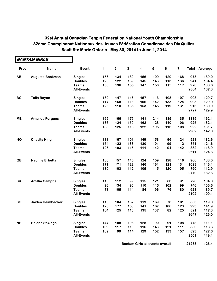|           | BANTAM GIRLS            |                   |             |                  |     |     |     |     |     |      |                      |
|-----------|-------------------------|-------------------|-------------|------------------|-----|-----|-----|-----|-----|------|----------------------|
| Prov.     | <b>Name</b>             | Event             | $\mathbf 1$ | $\boldsymbol{2}$ | 3   | 4   | 5   | 6   | 7   |      | <b>Total Average</b> |
| AB        | Augusta Bockman         | <b>Singles</b>    | 156         | 134              | 130 | 156 | 109 | 120 | 168 | 973  | 139.0                |
|           |                         | <b>Doubles</b>    | 120         | 122              | 159 | 145 | 146 | 113 | 136 | 941  | 134.4                |
|           |                         | <b>Teams</b>      | 150         | 136              | 155 | 147 | 150 | 115 | 117 | 970  | 138.6                |
|           |                         | <b>All-Events</b> |             |                  |     |     |     |     |     | 2884 | 137.3                |
| <b>BC</b> | <b>Talia Boyce</b>      | <b>Singles</b>    | 130         | 147              | 146 | 157 | 113 | 108 | 107 | 908  | 129.7                |
|           |                         | <b>Doubles</b>    | 117         | 168              | 113 | 106 | 142 | 133 | 124 | 903  | 129.0                |
|           |                         | <b>Teams</b>      | 123         | 110              | 135 | 153 | 145 | 119 | 131 | 916  | 130.9                |
|           |                         | <b>All-Events</b> |             |                  |     |     |     |     |     | 2727 | 129.9                |
| <b>MB</b> | <b>Amanda Forgues</b>   | <b>Singles</b>    | 169         | 166              | 175 | 141 | 214 | 135 | 135 | 1135 | 162.1                |
|           |                         | <b>Doubles</b>    | 136         | 124              | 159 | 162 | 128 | 110 | 106 | 925  | 132.1                |
|           |                         | <b>Teams</b>      | 138         | 125              | 118 | 122 | 195 | 116 | 108 | 922  | 131.7                |
|           |                         | <b>All-Events</b> |             |                  |     |     |     |     |     | 2982 | 142.0                |
| <b>NO</b> | <b>Chasity King</b>     | <b>Singles</b>    | 138         | 167              | 101 | 149 | 153 | 96  | 124 | 928  | 132.6                |
|           |                         | <b>Doubles</b>    | 154         | 122              | 133 | 130 | 101 | 99  | 112 | 851  | 121.6                |
|           |                         | <b>Teams</b>      | 125         | 103              | 115 | 111 | 142 | 94  | 142 | 832  | 118.9                |
|           |                         | <b>All-Events</b> |             |                  |     |     |     |     |     | 2611 | 124.3                |
| QB        | <b>Naomie Erbetta</b>   | <b>Singles</b>    | 136         | 157              | 146 | 124 | 159 | 128 | 116 | 966  | 138.0                |
|           |                         | <b>Doubles</b>    | 171         | 171              | 122 | 146 | 161 | 121 | 131 | 1023 | 146.1                |
|           |                         | <b>Teams</b>      | 130         | 103              | 112 | 105 | 115 | 120 | 105 | 790  | 112.9                |
|           |                         | <b>All-Events</b> |             |                  |     |     |     |     |     | 2779 | 132.3                |
| SK        | <b>Amillia Campbell</b> | <b>Singles</b>    | 110         | 112              | 99  | 115 | 121 | 80  | 91  | 728  | 104.0                |
|           |                         | <b>Doubles</b>    | 96          | 134              | 90  | 110 | 115 | 102 | 99  | 746  | 106.6                |
|           |                         | <b>Teams</b>      | 73          | 105              | 114 | 84  | 96  | 76  | 80  | 628  | 89.7                 |
|           |                         | <b>All-Events</b> |             |                  |     |     |     |     |     | 2102 | 100.1                |
| <b>SO</b> | Jaiden Heimbecker       | <b>Singles</b>    | 110         | 104              | 152 | 119 | 169 | 78  | 101 | 833  | 119.0                |
|           |                         | <b>Doubles</b>    | 126         | 177              | 153 | 141 | 167 | 106 | 123 | 993  | 141.9                |
|           |                         | <b>Teams</b>      | 104         | 125              | 113 | 135 | 137 | 82  | 125 | 821  | 117.3                |
|           |                         | <b>All-Events</b> |             |                  |     |     |     |     |     | 2647 | 126.0                |
| <b>NB</b> | <b>Helene St-Onge</b>   | <b>Singles</b>    | 147         | 108              | 106 | 128 | 90  | 91  | 108 | 778  | 111.1                |
|           |                         | <b>Doubles</b>    | 109         | 117              | 113 | 116 | 143 | 121 | 111 | 830  | 118.6                |
|           |                         | <b>Teams</b>      | 109         | 99               | 114 | 129 | 152 | 133 | 157 | 893  | 127.6                |
|           |                         | <b>All-Events</b> |             |                  |     |     |     |     |     | 2501 | 119.1                |
|           |                         |                   |             |                  |     |     |     |     |     |      |                      |

**Bantam Girls all events overall <b>168** 21233 126.4